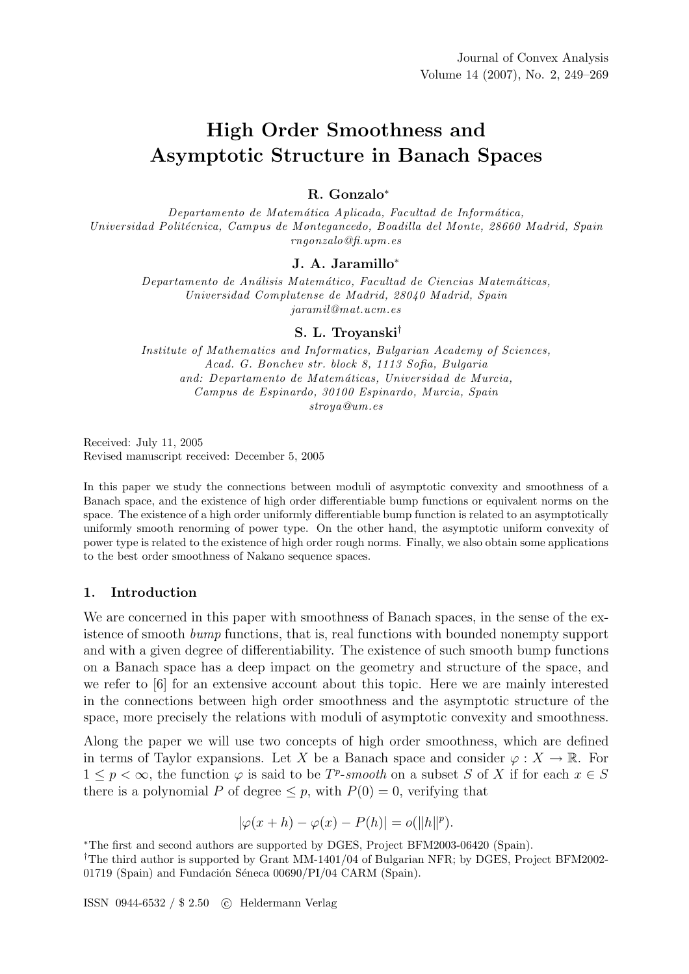# High Order Smoothness and Asymptotic Structure in Banach Spaces

## R. Gonzalo<sup>∗</sup>

Departamento de Matemática Aplicada, Facultad de Informática, Universidad Politécnica, Campus de Montegancedo, Boadilla del Monte, 28660 Madrid, Spain rngonzalo@fi.upm.es

## J. A. Jaramillo<sup>∗</sup>

Departamento de Análisis Matemático, Facultad de Ciencias Matemáticas, Universidad Complutense de Madrid, 28040 Madrid, Spain jaramil@mat.ucm.es

### S. L. Troyanski†

Institute of Mathematics and Informatics, Bulgarian Academy of Sciences, Acad. G. Bonchev str. block 8, 1113 Sofia, Bulgaria and: Departamento de Matemáticas, Universidad de Murcia, Campus de Espinardo, 30100 Espinardo, Murcia, Spain stroya@um.es

Received: July 11, 2005 Revised manuscript received: December 5, 2005

In this paper we study the connections between moduli of asymptotic convexity and smoothness of a Banach space, and the existence of high order differentiable bump functions or equivalent norms on the space. The existence of a high order uniformly differentiable bump function is related to an asymptotically uniformly smooth renorming of power type. On the other hand, the asymptotic uniform convexity of power type is related to the existence of high order rough norms. Finally, we also obtain some applications to the best order smoothness of Nakano sequence spaces.

## 1. Introduction

We are concerned in this paper with smoothness of Banach spaces, in the sense of the existence of smooth bump functions, that is, real functions with bounded nonempty support and with a given degree of differentiability. The existence of such smooth bump functions on a Banach space has a deep impact on the geometry and structure of the space, and we refer to [6] for an extensive account about this topic. Here we are mainly interested in the connections between high order smoothness and the asymptotic structure of the space, more precisely the relations with moduli of asymptotic convexity and smoothness.

Along the paper we will use two concepts of high order smoothness, which are defined in terms of Taylor expansions. Let X be a Banach space and consider  $\varphi: X \to \mathbb{R}$ . For  $1 \leq p < \infty$ , the function  $\varphi$  is said to be  $T^p$ -smooth on a subset S of X if for each  $x \in S$ there is a polynomial P of degree  $\leq p$ , with  $P(0) = 0$ , verifying that

$$
|\varphi(x+h) - \varphi(x) - P(h)| = o(||h||^p).
$$

<sup>∗</sup>The first and second authors are supported by DGES, Project BFM2003-06420 (Spain).

†The third author is supported by Grant MM-1401/04 of Bulgarian NFR; by DGES, Project BFM2002- 01719 (Spain) and Fundación Séneca  $00690/PI/04$  CARM (Spain).

ISSN 0944-6532 / \$ 2.50 c Heldermann Verlag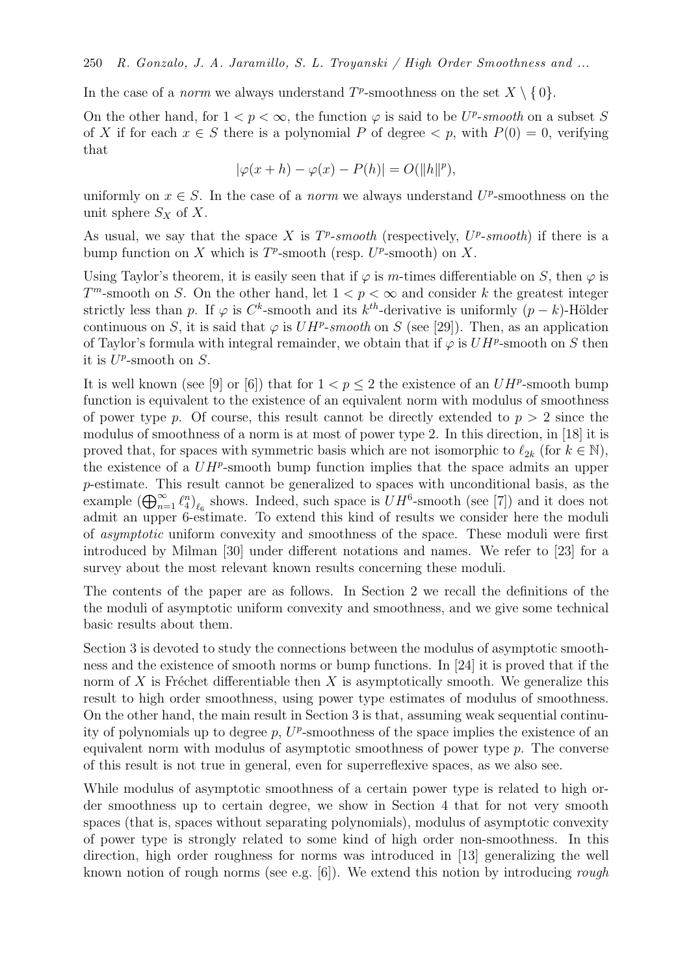In the case of a *norm* we always understand  $T^p$ -smoothness on the set  $X \setminus \{0\}$ .

On the other hand, for  $1 < p < \infty$ , the function  $\varphi$  is said to be  $U^p$ -smooth on a subset S of X if for each  $x \in S$  there is a polynomial P of degree  $\lt p$ , with  $P(0) = 0$ , verifying that

$$
|\varphi(x+h) - \varphi(x) - P(h)| = O(||h||^p),
$$

uniformly on  $x \in S$ . In the case of a *norm* we always understand  $U^p$ -smoothness on the unit sphere  $S_X$  of X.

As usual, we say that the space X is  $T^p$ -smooth (respectively,  $U^p$ -smooth) if there is a bump function on X which is  $T^p$ -smooth (resp.  $U^p$ -smooth) on X.

Using Taylor's theorem, it is easily seen that if  $\varphi$  is m-times differentiable on S, then  $\varphi$  is  $T^m$ -smooth on S. On the other hand, let  $1 < p < \infty$  and consider k the greatest integer strictly less than p. If  $\varphi$  is  $C^k$ -smooth and its  $k^{th}$ -derivative is uniformly  $(p-k)$ -Hölder continuous on S, it is said that  $\varphi$  is  $UH^p$ -smooth on S (see [29]). Then, as an application of Taylor's formula with integral remainder, we obtain that if  $\varphi$  is  $UH^p$ -smooth on S then it is  $U^p$ -smooth on S.

It is well known (see [9] or [6]) that for  $1 < p \le 2$  the existence of an  $UH^p$ -smooth bump function is equivalent to the existence of an equivalent norm with modulus of smoothness of power type p. Of course, this result cannot be directly extended to  $p > 2$  since the modulus of smoothness of a norm is at most of power type 2. In this direction, in [18] it is proved that, for spaces with symmetric basis which are not isomorphic to  $\ell_{2k}$  (for  $k \in \mathbb{N}$ ), the existence of a  $UH^p$ -smooth bump function implies that the space admits an upper p-estimate. This result cannot be generalized to spaces with unconditional basis, as the example  $(\bigoplus_{n=1}^{\infty} \ell_4^n)_{\ell_6}$  shows. Indeed, such space is  $UH^6$ -smooth (see [7]) and it does not admit an upper 6-estimate. To extend this kind of results we consider here the moduli of asymptotic uniform convexity and smoothness of the space. These moduli were first introduced by Milman [30] under different notations and names. We refer to [23] for a survey about the most relevant known results concerning these moduli.

The contents of the paper are as follows. In Section 2 we recall the definitions of the the moduli of asymptotic uniform convexity and smoothness, and we give some technical basic results about them.

Section 3 is devoted to study the connections between the modulus of asymptotic smoothness and the existence of smooth norms or bump functions. In [24] it is proved that if the norm of X is Fréchet differentiable then X is asymptotically smooth. We generalize this result to high order smoothness, using power type estimates of modulus of smoothness. On the other hand, the main result in Section 3 is that, assuming weak sequential continuity of polynomials up to degree  $p$ ,  $U^p$ -smoothness of the space implies the existence of an equivalent norm with modulus of asymptotic smoothness of power type  $p$ . The converse of this result is not true in general, even for superreflexive spaces, as we also see.

While modulus of asymptotic smoothness of a certain power type is related to high order smoothness up to certain degree, we show in Section 4 that for not very smooth spaces (that is, spaces without separating polynomials), modulus of asymptotic convexity of power type is strongly related to some kind of high order non-smoothness. In this direction, high order roughness for norms was introduced in [13] generalizing the well known notion of rough norms (see e.g.  $[6]$ ). We extend this notion by introducing rough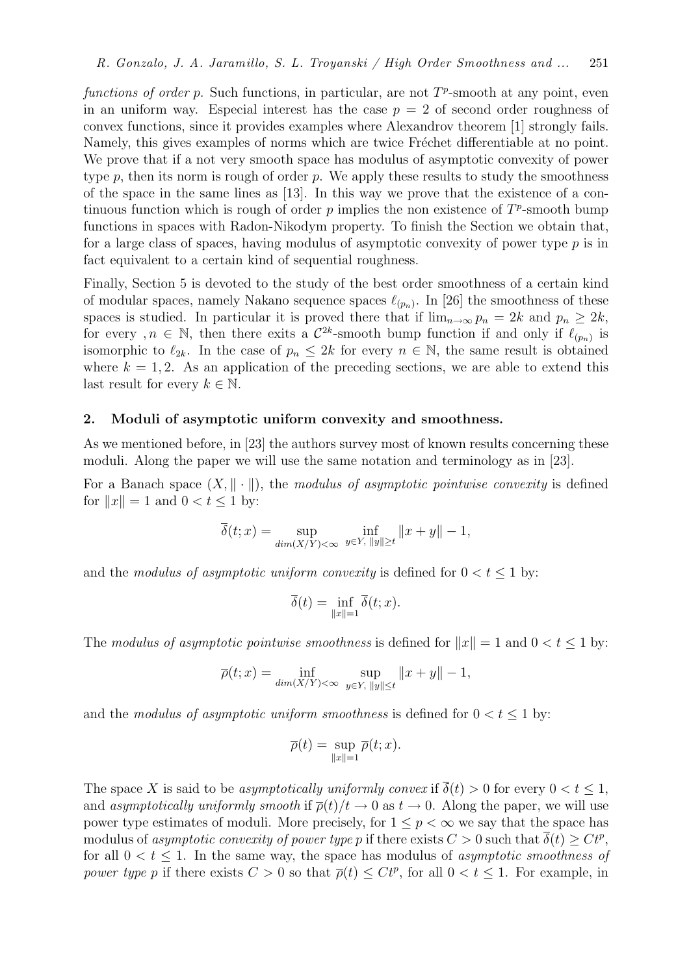functions of order p. Such functions, in particular, are not  $T^p$ -smooth at any point, even in an uniform way. Especial interest has the case  $p = 2$  of second order roughness of convex functions, since it provides examples where Alexandrov theorem [1] strongly fails. Namely, this gives examples of norms which are twice Fréchet differentiable at no point. We prove that if a not very smooth space has modulus of asymptotic convexity of power type  $p$ , then its norm is rough of order  $p$ . We apply these results to study the smoothness of the space in the same lines as [13]. In this way we prove that the existence of a continuous function which is rough of order  $p$  implies the non existence of  $T^p$ -smooth bump functions in spaces with Radon-Nikodym property. To finish the Section we obtain that, for a large class of spaces, having modulus of asymptotic convexity of power type  $p$  is in fact equivalent to a certain kind of sequential roughness.

Finally, Section 5 is devoted to the study of the best order smoothness of a certain kind of modular spaces, namely Nakano sequence spaces  $\ell_{(p_n)}$ . In [26] the smoothness of these spaces is studied. In particular it is proved there that if  $\lim_{n\to\infty} p_n = 2k$  and  $p_n \geq 2k$ , for every,  $n \in \mathbb{N}$ , then there exits a  $\mathcal{C}^{2k}$ -smooth bump function if and only if  $\ell_{(p_n)}$  is isomorphic to  $\ell_{2k}$ . In the case of  $p_n \leq 2k$  for every  $n \in \mathbb{N}$ , the same result is obtained where  $k = 1, 2$ . As an application of the preceding sections, we are able to extend this last result for every  $k \in \mathbb{N}$ .

### 2. Moduli of asymptotic uniform convexity and smoothness.

As we mentioned before, in [23] the authors survey most of known results concerning these moduli. Along the paper we will use the same notation and terminology as in [23].

For a Banach space  $(X, \|\cdot\|)$ , the modulus of asymptotic pointwise convexity is defined for  $||x|| = 1$  and  $0 < t \le 1$  by:

$$
\overline{\delta}(t; x) = \sup_{\dim(X/Y) < \infty} \inf_{y \in Y, \|y\| \ge t} \|x + y\| - 1,
$$

and the modulus of asymptotic uniform convexity is defined for  $0 < t \leq 1$  by:

$$
\overline{\delta}(t) = \inf_{\|x\|=1} \overline{\delta}(t;x).
$$

The modulus of asymptotic pointwise smoothness is defined for  $||x|| = 1$  and  $0 < t < 1$  by:

$$
\overline{\rho}(t; x) = \inf_{\dim(X/Y) < \infty} \sup_{y \in Y, \|y\| \le t} \|x + y\| - 1,
$$

and the modulus of asymptotic uniform smoothness is defined for  $0 < t < 1$  by:

$$
\overline{\rho}(t) = \sup_{\|x\|=1} \overline{\rho}(t; x).
$$

The space X is said to be asymptotically uniformly convex if  $\overline{\delta}(t) > 0$  for every  $0 < t \leq 1$ , and asymptotically uniformly smooth if  $\overline{\rho}(t)/t \to 0$  as  $t \to 0$ . Along the paper, we will use power type estimates of moduli. More precisely, for  $1 \leq p < \infty$  we say that the space has modulus of *asymptotic convexity of power type p* if there exists  $C>0$  such that  $\overline{\delta}(t)\geq Ct^p,$ for all  $0 < t \leq 1$ . In the same way, the space has modulus of *asymptotic smoothness of* power type p if there exists  $C > 0$  so that  $\overline{\rho}(t) \leq Ct^p$ , for all  $0 < t \leq 1$ . For example, in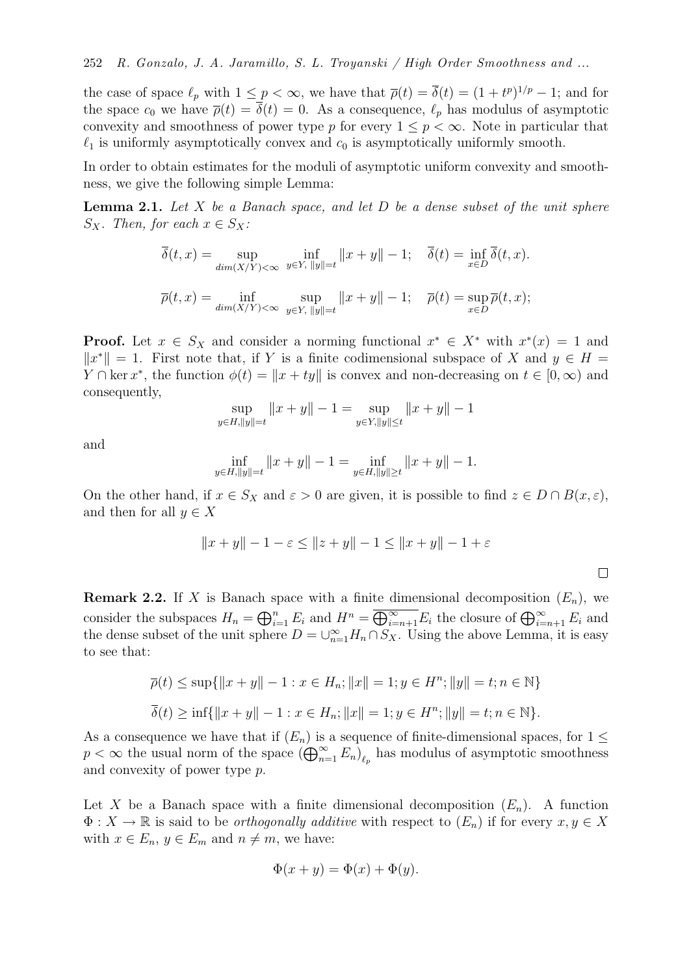the case of space  $\ell_p$  with  $1 \leq p < \infty$ , we have that  $\overline{\rho}(t) = \overline{\delta}(t) = (1 + t^p)^{1/p} - 1$ ; and for the space  $c_0$  we have  $\overline{\rho}(t) = \overline{\delta}(t) = 0$ . As a consequence,  $\ell_p$  has modulus of asymptotic convexity and smoothness of power type p for every  $1 \leq p < \infty$ . Note in particular that  $\ell_1$  is uniformly asymptotically convex and  $c_0$  is asymptotically uniformly smooth.

In order to obtain estimates for the moduli of asymptotic uniform convexity and smoothness, we give the following simple Lemma:

**Lemma 2.1.** Let  $X$  be a Banach space, and let  $D$  be a dense subset of the unit sphere  $S_X$ . Then, for each  $x \in S_X$ :

$$
\overline{\delta}(t,x) = \sup_{\dim(X/Y) < \infty} \inf_{y \in Y, \|y\| = t} \|x + y\| - 1; \quad \overline{\delta}(t) = \inf_{x \in D} \overline{\delta}(t,x).
$$
\n
$$
\overline{\rho}(t,x) = \inf_{\dim(X/Y) < \infty} \sup_{y \in Y, \|y\| = t} \|x + y\| - 1; \quad \overline{\rho}(t) = \sup_{x \in D} \overline{\rho}(t,x);
$$

**Proof.** Let  $x \in S_X$  and consider a norming functional  $x^* \in X^*$  with  $x^*(x) = 1$  and  $||x^*|| = 1$ . First note that, if Y is a finite codimensional subspace of X and  $y \in H =$  $Y \cap \text{ker } x^*$ , the function  $\phi(t) = ||x + ty||$  is convex and non-decreasing on  $t \in [0, \infty)$  and consequently,

$$
\sup_{y \in H, ||y|| = t} ||x + y|| - 1 = \sup_{y \in Y, ||y|| \le t} ||x + y|| - 1
$$

and

$$
\inf_{y \in H, \|y\| = t} \|x + y\| - 1 = \inf_{y \in H, \|y\| \ge t} \|x + y\| - 1.
$$

On the other hand, if  $x \in S_X$  and  $\varepsilon > 0$  are given, it is possible to find  $z \in D \cap B(x, \varepsilon)$ , and then for all  $y \in X$ 

$$
||x + y|| - 1 - \varepsilon \le ||z + y|| - 1 \le ||x + y|| - 1 + \varepsilon
$$

**Remark 2.2.** If X is Banach space with a finite dimensional decomposition  $(E_n)$ , we consider the subspaces  $H_n = \bigoplus_{i=1}^n E_i$  and  $H^n = \overline{\bigoplus_{i=n+1}^{\infty} E_i}$  the closure of  $\bigoplus_{i=n+1}^{\infty} E_i$  and the dense subset of the unit sphere  $D = \bigcup_{n=1}^{\infty} H_n \cap S_X$ . Using the above Lemma, it is easy to see that:

$$
\overline{\rho}(t) \le \sup\{\|x+y\| - 1 : x \in H_n; \|x\| = 1; y \in H^n; \|y\| = t; n \in \mathbb{N}\}
$$
  

$$
\overline{\delta}(t) \ge \inf\{\|x+y\| - 1 : x \in H_n; \|x\| = 1; y \in H^n; \|y\| = t; n \in \mathbb{N}\}.
$$

As a consequence we have that if  $(E_n)$  is a sequence of finite-dimensional spaces, for  $1 \leq$  $p < \infty$  the usual norm of the space  $(\bigoplus_{n=1}^{\infty} E_n)_{\ell_p}$  has modulus of asymptotic smoothness and convexity of power type p.

Let X be a Banach space with a finite dimensional decomposition  $(E_n)$ . A function  $\Phi: X \to \mathbb{R}$  is said to be *orthogonally additive* with respect to  $(E_n)$  if for every  $x, y \in X$ with  $x \in E_n$ ,  $y \in E_m$  and  $n \neq m$ , we have:

$$
\Phi(x+y) = \Phi(x) + \Phi(y).
$$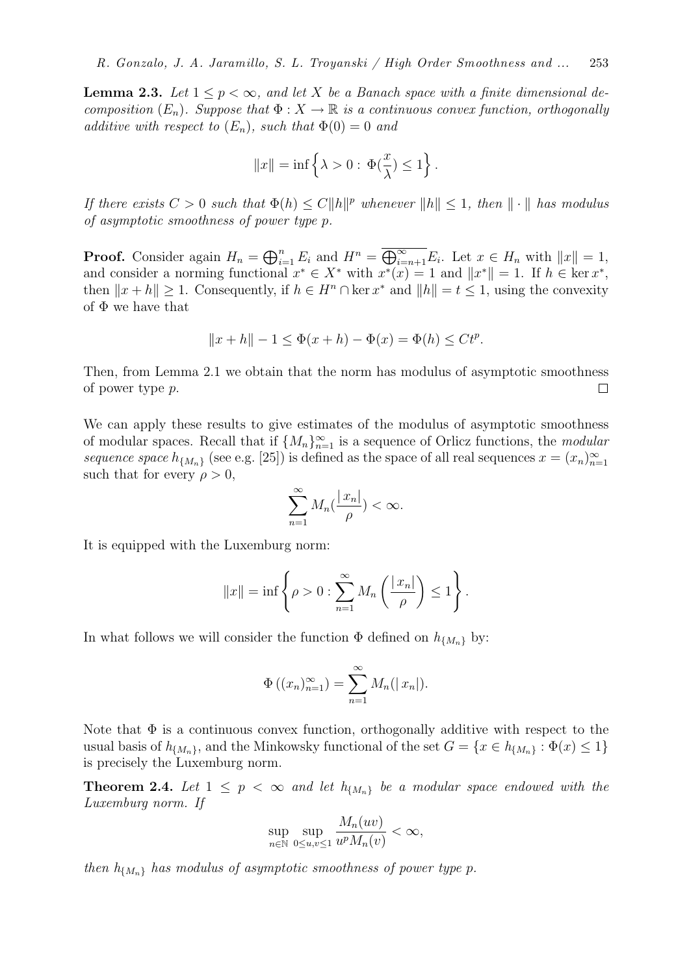**Lemma 2.3.** Let  $1 \leq p < \infty$ , and let X be a Banach space with a finite dimensional decomposition  $(E_n)$ . Suppose that  $\Phi: X \to \mathbb{R}$  is a continuous convex function, orthogonally additive with respect to  $(E_n)$ , such that  $\Phi(0) = 0$  and

$$
||x|| = \inf \left\{ \lambda > 0 : \, \Phi(\frac{x}{\lambda}) \leq 1 \right\}.
$$

If there exists  $C > 0$  such that  $\Phi(h) \leq C ||h||^p$  whenever  $||h|| \leq 1$ , then  $||\cdot||$  has modulus of asymptotic smoothness of power type p.

**Proof.** Consider again  $H_n = \bigoplus_{i=1}^n E_i$  and  $H^n = \overline{\bigoplus_{i=n+1}^{\infty} E_i}$ . Let  $x \in H_n$  with  $||x|| = 1$ , and consider a norming functional  $x^* \in X^*$  with  $x^*(x) = 1$  and  $||x^*|| = 1$ . If  $h \in \text{ker } x^*$ , then  $||x + h|| \ge 1$ . Consequently, if  $h \in H^n \cap \ker x^*$  and  $||h|| = t \le 1$ , using the convexity of  $\Phi$  we have that

$$
||x + h|| - 1 \le \Phi(x + h) - \Phi(x) = \Phi(h) \le Ct^p.
$$

Then, from Lemma 2.1 we obtain that the norm has modulus of asymptotic smoothness of power type p.  $\Box$ 

We can apply these results to give estimates of the modulus of asymptotic smoothness of modular spaces. Recall that if  $\{M_n\}_{n=1}^{\infty}$  is a sequence of Orlicz functions, the modular sequence space  $h_{\{M_n\}}$  (see e.g. [25]) is defined as the space of all real sequences  $x = (x_n)_{n=1}^{\infty}$ such that for every  $\rho > 0$ ,

$$
\sum_{n=1}^{\infty} M_n(\frac{|x_n|}{\rho}) < \infty.
$$

It is equipped with the Luxemburg norm:

$$
||x|| = \inf \left\{ \rho > 0 : \sum_{n=1}^{\infty} M_n \left( \frac{|x_n|}{\rho} \right) \le 1 \right\}.
$$

In what follows we will consider the function  $\Phi$  defined on  $h_{\{M_n\}}$  by:

$$
\Phi((x_n)_{n=1}^{\infty}) = \sum_{n=1}^{\infty} M_n(|x_n|).
$$

Note that  $\Phi$  is a continuous convex function, orthogonally additive with respect to the usual basis of  $h_{\{M_n\}}$ , and the Minkowsky functional of the set  $G = \{x \in h_{\{M_n\}} : \Phi(x) \leq 1\}$ is precisely the Luxemburg norm.

**Theorem 2.4.** Let  $1 \leq p \leq \infty$  and let  $h_{\{M_n\}}$  be a modular space endowed with the Luxemburg norm. If

$$
\sup_{n \in \mathbb{N}} \sup_{0 \le u, v \le 1} \frac{M_n(uv)}{u^p M_n(v)} < \infty,
$$

then  $h_{\{M_n\}}$  has modulus of asymptotic smoothness of power type p.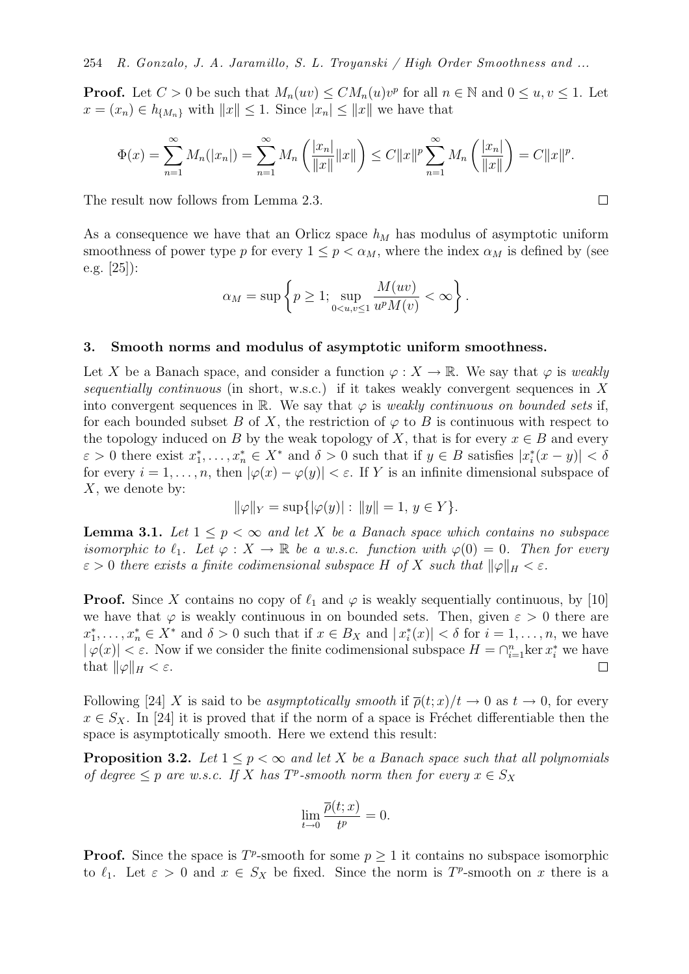**Proof.** Let  $C > 0$  be such that  $M_n(uv) \leq CM_n(u)v^p$  for all  $n \in \mathbb{N}$  and  $0 \leq u, v \leq 1$ . Let  $x = (x_n) \in h_{\{M_n\}}$  with  $||x|| \leq 1$ . Since  $|x_n| \leq ||x||$  we have that

$$
\Phi(x) = \sum_{n=1}^{\infty} M_n(|x_n|) = \sum_{n=1}^{\infty} M_n\left(\frac{|x_n|}{\|x\|}\|x\|\right) \le C\|x\|^p \sum_{n=1}^{\infty} M_n\left(\frac{|x_n|}{\|x\|}\right) = C\|x\|^p.
$$

 $\Box$ 

The result now follows from Lemma 2.3.

As a consequence we have that an Orlicz space  $h<sub>M</sub>$  has modulus of asymptotic uniform smoothness of power type p for every  $1 \leq p < \alpha_M$ , where the index  $\alpha_M$  is defined by (see e.g. [25]):

$$
\alpha_M = \sup \left\{ p \ge 1; \sup_{0 < u, v \le 1} \frac{M(uv)}{u^p M(v)} < \infty \right\}.
$$

### 3. Smooth norms and modulus of asymptotic uniform smoothness.

Let X be a Banach space, and consider a function  $\varphi: X \to \mathbb{R}$ . We say that  $\varphi$  is weakly sequentially continuous (in short, w.s.c.) if it takes weakly convergent sequences in  $X$ into convergent sequences in R. We say that  $\varphi$  is *weakly continuous on bounded sets* if, for each bounded subset B of X, the restriction of  $\varphi$  to B is continuous with respect to the topology induced on B by the weak topology of X, that is for every  $x \in B$  and every  $\varepsilon > 0$  there exist  $x_1^*, \ldots, x_n^* \in X^*$  and  $\delta > 0$  such that if  $y \in B$  satisfies  $|x_i^*(x - y)| < \delta$ for every  $i = 1, \ldots, n$ , then  $|\varphi(x) - \varphi(y)| < \varepsilon$ . If Y is an infinite dimensional subspace of X, we denote by:

$$
\|\varphi\|_{Y} = \sup\{|\varphi(y)| : \|y\| = 1, y \in Y\}.
$$

**Lemma 3.1.** Let  $1 \leq p < \infty$  and let X be a Banach space which contains no subspace isomorphic to  $\ell_1$ . Let  $\varphi: X \to \mathbb{R}$  be a w.s.c. function with  $\varphi(0) = 0$ . Then for every  $\varepsilon > 0$  there exists a finite codimensional subspace H of X such that  $\|\varphi\|_H < \varepsilon$ .

**Proof.** Since X contains no copy of  $\ell_1$  and  $\varphi$  is weakly sequentially continuous, by [10] we have that  $\varphi$  is weakly continuous in on bounded sets. Then, given  $\varepsilon > 0$  there are  $x_1^*, \ldots, x_n^* \in X^*$  and  $\delta > 0$  such that if  $x \in B_X$  and  $|x_i^*(x)| < \delta$  for  $i = 1, \ldots, n$ , we have  $|\varphi(x)| < \varepsilon$ . Now if we consider the finite codimensional subspace  $H = \bigcap_{i=1}^n \ker x_i^*$  we have that  $\|\varphi\|_H < \varepsilon$ .  $\Box$ 

Following [24] X is said to be asymptotically smooth if  $\overline{\rho}(t;x)/t \to 0$  as  $t \to 0$ , for every  $x \in S_X$ . In [24] it is proved that if the norm of a space is Fréchet differentiable then the space is asymptotically smooth. Here we extend this result:

**Proposition 3.2.** Let  $1 \leq p \leq \infty$  and let X be a Banach space such that all polynomials of degree  $\leq p$  are w.s.c. If X has  $T^p$ -smooth norm then for every  $x \in S_X$ 

$$
\lim_{t \to 0} \frac{\overline{\rho}(t; x)}{t^p} = 0.
$$

**Proof.** Since the space is  $T^p$ -smooth for some  $p \geq 1$  it contains no subspace isomorphic to  $\ell_1$ . Let  $\varepsilon > 0$  and  $x \in S_X$  be fixed. Since the norm is  $T^p$ -smooth on x there is a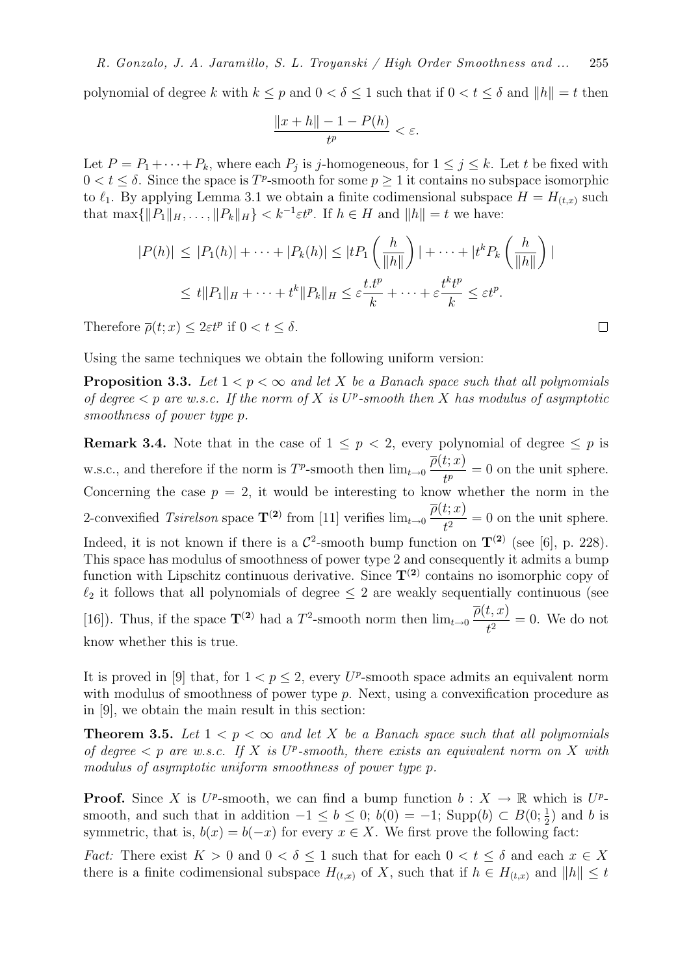polynomial of degree k with  $k \leq p$  and  $0 < \delta \leq 1$  such that if  $0 < t \leq \delta$  and  $||h|| = t$  then

$$
\frac{\|x+h\| - 1 - P(h)}{t^p} < \varepsilon.
$$

Let  $P = P_1 + \cdots + P_k$ , where each  $P_j$  is j-homogeneous, for  $1 \leq j \leq k$ . Let t be fixed with  $0 < t \leq \delta$ . Since the space is  $T^p$ -smooth for some  $p \geq 1$  it contains no subspace isomorphic to  $\ell_1$ . By applying Lemma 3.1 we obtain a finite codimensional subspace  $H = H_{(t,x)}$  such that  $\max\{\Vert P_1\Vert_H, \ldots, \Vert P_k\Vert_H\} < k^{-1}\varepsilon t^p$ . If  $h \in H$  and  $\Vert h \Vert = t$  we have:

$$
|P(h)| \le |P_1(h)| + \dots + |P_k(h)| \le |tP_1\left(\frac{h}{\|h\|}\right)| + \dots + |t^kP_k\left(\frac{h}{\|h\|}\right)|
$$
  

$$
\le t\|P_1\|_H + \dots + t^k\|P_k\|_H \le \varepsilon \frac{t \cdot t^p}{k} + \dots + \varepsilon \frac{t^k t^p}{k} \le \varepsilon t^p.
$$

Therefore  $\overline{\rho}(t; x) \leq 2\varepsilon t^p$  if  $0 < t \leq \delta$ .

Using the same techniques we obtain the following uniform version:

**Proposition 3.3.** Let  $1 < p < \infty$  and let X be a Banach space such that all polynomials of degree  $\lt p$  are w.s.c. If the norm of X is  $U^p$ -smooth then X has modulus of asymptotic smoothness of power type p.

**Remark 3.4.** Note that in the case of  $1 \leq p < 2$ , every polynomial of degree  $\leq p$  is w.s.c., and therefore if the norm is  $T^p$ -smooth then  $\lim_{t\to 0}$  $\overline{\rho}(t;x)$  $\frac{\partial f(x)}{\partial t} = 0$  on the unit sphere. Concerning the case  $p = 2$ , it would be interesting to know whether the norm in the 2-convexified  $Tsirelson$  space  $\mathbf{T}^{(2)}$  from [11] verifies  $\lim_{t\to 0}$  $\overline{\rho}(t;x)$  $\frac{\partial(u,v)}{\partial t^2} = 0$  on the unit sphere. Indeed, it is not known if there is a  $\mathcal{C}^2$ -smooth bump function on  $\mathbf{T}^{(2)}$  (see [6], p. 228). This space has modulus of smoothness of power type 2 and consequently it admits a bump function with Lipschitz continuous derivative. Since  $T^{(2)}$  contains no isomorphic copy of  $\ell_2$  it follows that all polynomials of degree  $\leq 2$  are weakly sequentially continuous (see [16]). Thus, if the space  $\mathbf{T}^{(2)}$  had a  $T^2$ -smooth norm then  $\lim_{t\to 0}$  $\overline{\rho}(t,x)$  $\frac{\partial}{\partial t}$  = 0. We do not know whether this is true.

It is proved in [9] that, for  $1 < p \leq 2$ , every U<sup>p</sup>-smooth space admits an equivalent norm with modulus of smoothness of power type p. Next, using a convexification procedure as in [9], we obtain the main result in this section:

**Theorem 3.5.** Let  $1 < p < \infty$  and let X be a Banach space such that all polynomials of degree  $\langle p \rangle$  are w.s.c. If X is U<sup>p</sup>-smooth, there exists an equivalent norm on X with modulus of asymptotic uniform smoothness of power type p.

**Proof.** Since X is  $U^p$ -smooth, we can find a bump function  $b: X \to \mathbb{R}$  which is  $U^p$ smooth, and such that in addition  $-1 \leq b \leq 0$ ;  $b(0) = -1$ ; Supp $(b) \subset B(0; \frac{1}{2})$  and b is symmetric, that is,  $b(x) = b(-x)$  for every  $x \in X$ . We first prove the following fact:

*Fact:* There exist  $K > 0$  and  $0 < \delta \leq 1$  such that for each  $0 < t \leq \delta$  and each  $x \in X$ there is a finite codimensional subspace  $H_{(t,x)}$  of X, such that if  $h \in H_{(t,x)}$  and  $||h|| \leq t$ 

 $\Box$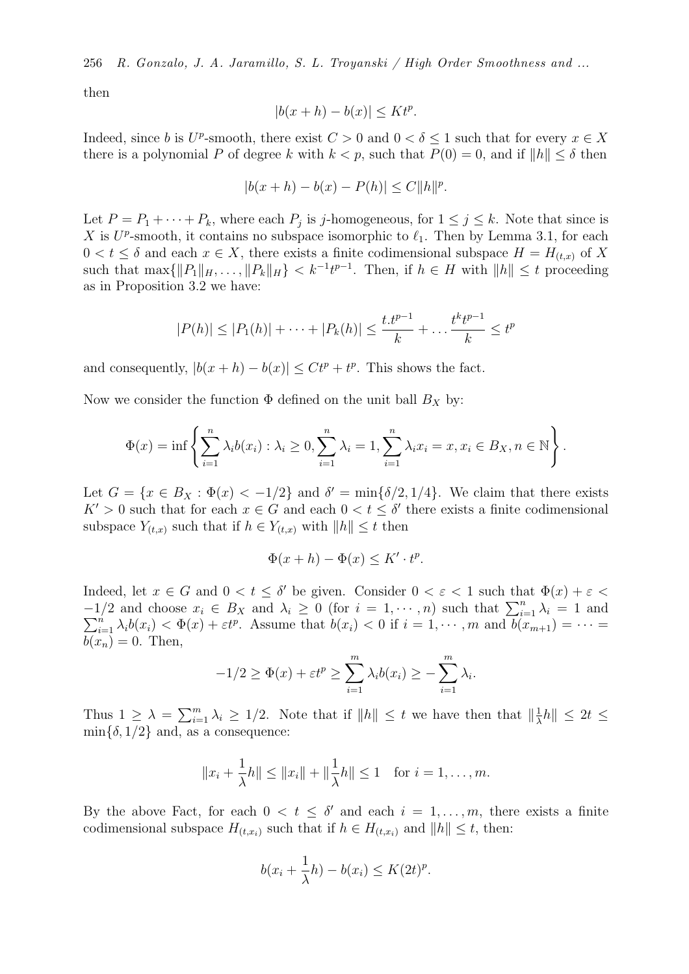then

$$
|b(x+h) - b(x)| \le Kt^p.
$$

Indeed, since b is  $U^p$ -smooth, there exist  $C > 0$  and  $0 < \delta \leq 1$  such that for every  $x \in X$ there is a polynomial P of degree k with  $k < p$ , such that  $P(0) = 0$ , and if  $||h|| \le \delta$  then

$$
|b(x+h) - b(x) - P(h)| \le C ||h||^p.
$$

Let  $P = P_1 + \cdots + P_k$ , where each  $P_j$  is j-homogeneous, for  $1 \leq j \leq k$ . Note that since is X is  $U^p$ -smooth, it contains no subspace isomorphic to  $\ell_1$ . Then by Lemma 3.1, for each  $0 < t \leq \delta$  and each  $x \in X$ , there exists a finite codimensional subspace  $H = H_{(t,x)}$  of X such that  $\max\{\|P_1\|_H, \ldots, \|P_k\|_H\} < k^{-1}t^{p-1}$ . Then, if  $h \in H$  with  $\|h\| \le t$  proceeding as in Proposition 3.2 we have:

$$
|P(h)| \le |P_1(h)| + \dots + |P_k(h)| \le \frac{t \cdot t^{p-1}}{k} + \dots + \frac{t^k t^{p-1}}{k} \le t^p
$$

and consequently,  $|b(x+h) - b(x)| \leq Ct^p + t^p$ . This shows the fact.

Now we consider the function  $\Phi$  defined on the unit ball  $B_X$  by:

$$
\Phi(x) = \inf \left\{ \sum_{i=1}^{n} \lambda_i b(x_i) : \lambda_i \ge 0, \sum_{i=1}^{n} \lambda_i = 1, \sum_{i=1}^{n} \lambda_i x_i = x, x_i \in B_X, n \in \mathbb{N} \right\}.
$$

Let  $G = \{x \in B_X : \Phi(x) < -1/2\}$  and  $\delta' = \min\{\delta/2, 1/4\}$ . We claim that there exists  $K' > 0$  such that for each  $x \in G$  and each  $0 < t \leq \delta'$  there exists a finite codimensional subspace  $Y_{(t,x)}$  such that if  $h \in Y_{(t,x)}$  with  $||h|| \leq t$  then

$$
\Phi(x+h) - \Phi(x) \le K' \cdot t^p.
$$

Indeed, let  $x \in G$  and  $0 < t \leq \delta'$  be given. Consider  $0 < \varepsilon < 1$  such that  $\Phi(x) + \varepsilon <$  $-1/2$  and choose  $x_i \in B_X$  and  $\lambda_i \geq 0$  (for  $i = 1, \dots, n$ ) such that  $\sum_{i=1}^n \lambda_i = 1$  and  $\sum_{i=1}^{n} \lambda_i b(x_i) < \Phi(x) + \varepsilon t^p$ . Assume that  $b(x_i) < 0$  if  $i = 1, \dots, m$  and  $\overline{b(x_{m+1})} = \dots =$  $b(x_n) = 0$ . Then,

$$
-1/2 \ge \Phi(x) + \varepsilon t^p \ge \sum_{i=1}^m \lambda_i b(x_i) \ge -\sum_{i=1}^m \lambda_i.
$$

Thus  $1 \geq \lambda = \sum_{i=1}^{m} \lambda_i \geq 1/2$ . Note that if  $||h|| \leq t$  we have then that  $||\frac{1}{\lambda}$  $\frac{1}{\lambda}h\| \leq 2t \leq$  $\min\{\delta, 1/2\}$  and, as a consequence:

$$
||x_i + \frac{1}{\lambda}h|| \le ||x_i|| + ||\frac{1}{\lambda}h|| \le 1
$$
 for  $i = 1, ..., m$ .

By the above Fact, for each  $0 < t \leq \delta'$  and each  $i = 1, \ldots, m$ , there exists a finite codimensional subspace  $H_{(t,x_i)}$  such that if  $h \in H_{(t,x_i)}$  and  $||h|| \leq t$ , then:

$$
b(x_i + \frac{1}{\lambda}h) - b(x_i) \le K(2t)^p.
$$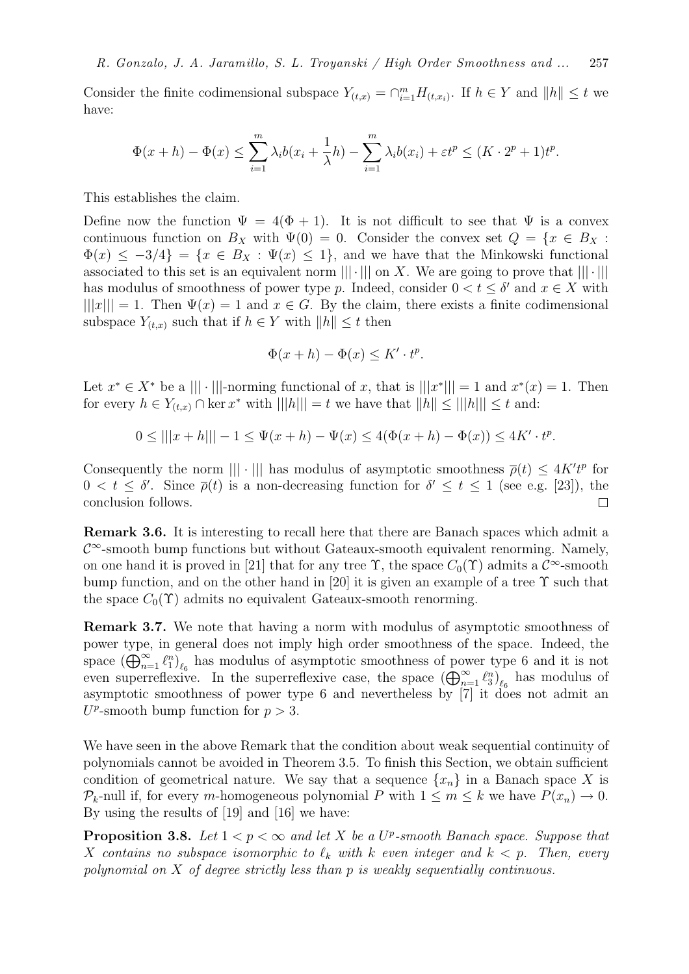Consider the finite codimensional subspace  $Y_{(t,x)} = \bigcap_{i=1}^{m} H_{(t,x_i)}$ . If  $h \in Y$  and  $||h|| \leq t$  we have:

$$
\Phi(x+h) - \Phi(x) \le \sum_{i=1}^m \lambda_i b(x_i + \frac{1}{\lambda}h) - \sum_{i=1}^m \lambda_i b(x_i) + \varepsilon t^p \le (K \cdot 2^p + 1)t^p.
$$

This establishes the claim.

Define now the function  $\Psi = 4(\Phi + 1)$ . It is not difficult to see that  $\Psi$  is a convex continuous function on  $B_X$  with  $\Psi(0) = 0$ . Consider the convex set  $Q = \{x \in B_X :$  $\Phi(x) \leq -3/4$  =  $\{x \in B_X : \Psi(x) \leq 1\}$ , and we have that the Minkowski functional associated to this set is an equivalent norm  $\|\cdot\|$  on X. We are going to prove that  $\|\cdot\|$ has modulus of smoothness of power type p. Indeed, consider  $0 < t \leq \delta'$  and  $x \in X$  with  $|||x||| = 1$ . Then  $\Psi(x) = 1$  and  $x \in G$ . By the claim, there exists a finite codimensional subspace  $Y_{(t,x)}$  such that if  $h \in Y$  with  $||h|| \leq t$  then

$$
\Phi(x+h) - \Phi(x) \le K' \cdot t^p.
$$

Let  $x^* \in X^*$  be a  $|||\cdot|||$ -norming functional of x, that is  $|||x^*||| = 1$  and  $x^*(x) = 1$ . Then for every  $h \in Y_{(t,x)} \cap \ker x^*$  with  $||h|| = t$  we have that  $||h|| \le ||h||| \le t$  and:

$$
0 \le |||x + h||| - 1 \le \Psi(x + h) - \Psi(x) \le 4(\Phi(x + h) - \Phi(x)) \le 4K' \cdot t^p.
$$

Consequently the norm  $\| |\cdot| \|$  has modulus of asymptotic smoothness  $\overline{\rho}(t) \leq 4K't^p$  for  $0 < t \leq \delta'$ . Since  $\bar{\rho}(t)$  is a non-decreasing function for  $\delta' \leq t \leq 1$  (see e.g. [23]), the conclusion follows.  $\Box$ 

Remark 3.6. It is interesting to recall here that there are Banach spaces which admit a  $\mathcal{C}^{\infty}$ -smooth bump functions but without Gateaux-smooth equivalent renorming. Namely, on one hand it is proved in [21] that for any tree  $\Upsilon$ , the space  $C_0(\Upsilon)$  admits a  $\mathcal{C}^{\infty}$ -smooth bump function, and on the other hand in [20] it is given an example of a tree  $\Upsilon$  such that the space  $C_0(\Upsilon)$  admits no equivalent Gateaux-smooth renorming.

Remark 3.7. We note that having a norm with modulus of asymptotic smoothness of power type, in general does not imply high order smoothness of the space. Indeed, the space  $(\bigoplus_{n=1}^{\infty} \ell_1^n)_{\ell_6}$  has modulus of asymptotic smoothness of power type 6 and it is not even superreflexive. In the superreflexive case, the space  $(\bigoplus_{n=1}^{\infty} \ell_3^n)_{\ell_6}$  has modulus of asymptotic smoothness of power type 6 and nevertheless by [7] it does not admit an  $U^p$ -smooth bump function for  $p > 3$ .

We have seen in the above Remark that the condition about weak sequential continuity of polynomials cannot be avoided in Theorem 3.5. To finish this Section, we obtain sufficient condition of geometrical nature. We say that a sequence  $\{x_n\}$  in a Banach space X is  $\mathcal{P}_k$ -null if, for every m-homogeneous polynomial P with  $1 \leq m \leq k$  we have  $P(x_n) \to 0$ . By using the results of [19] and [16] we have:

**Proposition 3.8.** Let  $1 < p < \infty$  and let X be a U<sup>p</sup>-smooth Banach space. Suppose that X contains no subspace isomorphic to  $\ell_k$  with k even integer and  $k < p$ . Then, every polynomial on X of degree strictly less than p is weakly sequentially continuous.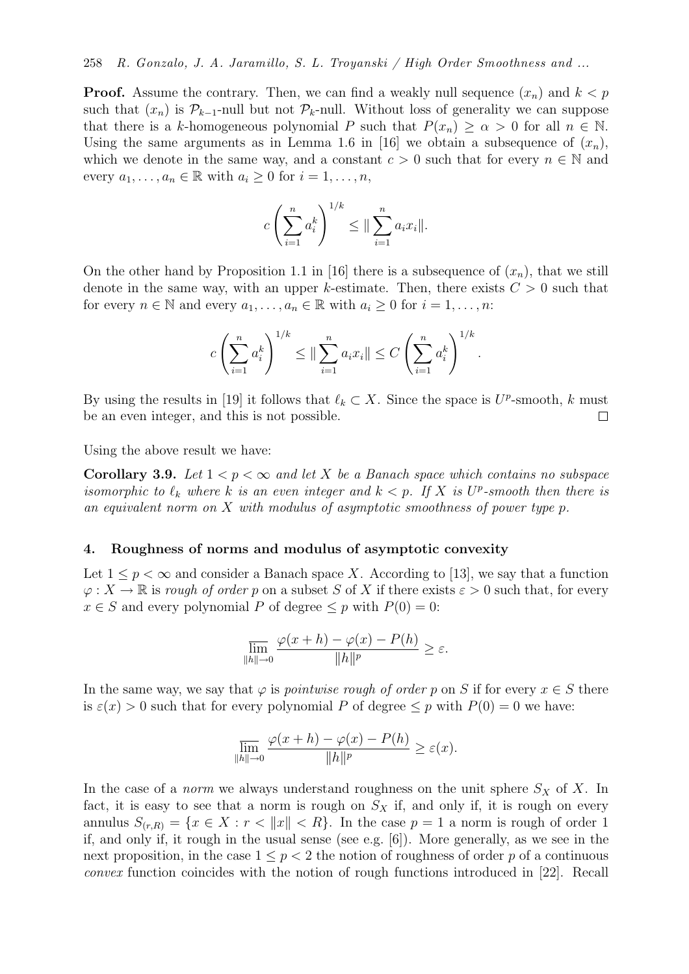**Proof.** Assume the contrary. Then, we can find a weakly null sequence  $(x_n)$  and  $k < p$ such that  $(x_n)$  is  $\mathcal{P}_{k-1}$ -null but not  $\mathcal{P}_k$ -null. Without loss of generality we can suppose that there is a k-homogeneous polynomial P such that  $P(x_n) \geq \alpha > 0$  for all  $n \in \mathbb{N}$ . Using the same arguments as in Lemma 1.6 in [16] we obtain a subsequence of  $(x_n)$ , which we denote in the same way, and a constant  $c > 0$  such that for every  $n \in \mathbb{N}$  and every  $a_1, \ldots, a_n \in \mathbb{R}$  with  $a_i \geq 0$  for  $i = 1, \ldots, n$ ,

$$
c\left(\sum_{i=1}^n a_i^k\right)^{1/k} \leq \|\sum_{i=1}^n a_i x_i\|.
$$

On the other hand by Proposition 1.1 in [16] there is a subsequence of  $(x_n)$ , that we still denote in the same way, with an upper k-estimate. Then, there exists  $C > 0$  such that for every  $n \in \mathbb{N}$  and every  $a_1, \ldots, a_n \in \mathbb{R}$  with  $a_i \geq 0$  for  $i = 1, \ldots, n$ :

$$
c\left(\sum_{i=1}^{n} a_i^k\right)^{1/k} \le \|\sum_{i=1}^{n} a_i x_i\| \le C\left(\sum_{i=1}^{n} a_i^k\right)^{1/k}
$$

.

By using the results in [19] it follows that  $\ell_k \subset X$ . Since the space is  $U^p$ -smooth, k must be an even integer, and this is not possible.  $\Box$ 

Using the above result we have:

Corollary 3.9. Let  $1 < p < \infty$  and let X be a Banach space which contains no subspace isomorphic to  $\ell_k$  where k is an even integer and  $k < p$ . If X is  $U^p$ -smooth then there is an equivalent norm on X with modulus of asymptotic smoothness of power type p.

### 4. Roughness of norms and modulus of asymptotic convexity

Let  $1 \leq p < \infty$  and consider a Banach space X. According to [13], we say that a function  $\varphi: X \to \mathbb{R}$  is rough of order p on a subset S of X if there exists  $\varepsilon > 0$  such that, for every  $x \in S$  and every polynomial P of degree  $\leq p$  with  $P(0) = 0$ :

$$
\overline{\lim}_{\|h\| \to 0} \frac{\varphi(x+h) - \varphi(x) - P(h)}{\|h\|^p} \ge \varepsilon.
$$

In the same way, we say that  $\varphi$  is *pointwise rough of order p* on S if for every  $x \in S$  there is  $\varepsilon(x) > 0$  such that for every polynomial P of degree  $\leq p$  with  $P(0) = 0$  we have:

$$
\overline{\lim}_{\|h\| \to 0} \frac{\varphi(x+h) - \varphi(x) - P(h)}{\|h\|^p} \ge \varepsilon(x).
$$

In the case of a *norm* we always understand roughness on the unit sphere  $S_X$  of X. In fact, it is easy to see that a norm is rough on  $S_X$  if, and only if, it is rough on every annulus  $S_{(r,R)} = \{x \in X : r < ||x|| < R\}$ . In the case  $p = 1$  a norm is rough of order 1 if, and only if, it rough in the usual sense (see e.g. [6]). More generally, as we see in the next proposition, in the case  $1 \leq p \leq 2$  the notion of roughness of order p of a continuous convex function coincides with the notion of rough functions introduced in [22]. Recall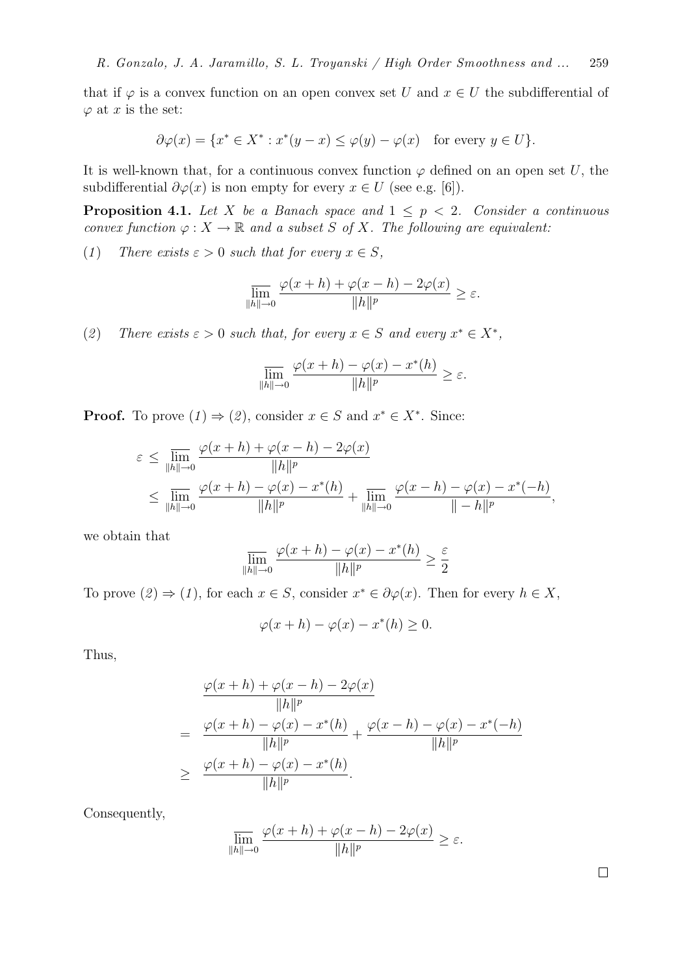that if  $\varphi$  is a convex function on an open convex set U and  $x \in U$  the subdifferential of  $\varphi$  at x is the set:

$$
\partial \varphi(x) = \{ x^* \in X^* : x^*(y - x) \le \varphi(y) - \varphi(x) \quad \text{for every } y \in U \}.
$$

It is well-known that, for a continuous convex function  $\varphi$  defined on an open set U, the subdifferential  $\partial \varphi(x)$  is non empty for every  $x \in U$  (see e.g. [6]).

**Proposition 4.1.** Let X be a Banach space and  $1 \leq p \leq 2$ . Consider a continuous convex function  $\varphi: X \to \mathbb{R}$  and a subset S of X. The following are equivalent:

(1) There exists  $\varepsilon > 0$  such that for every  $x \in S$ ,

$$
\overline{\lim}_{\|h\| \to 0} \frac{\varphi(x+h) + \varphi(x-h) - 2\varphi(x)}{\|h\|^p} \ge \varepsilon.
$$

(2) There exists  $\varepsilon > 0$  such that, for every  $x \in S$  and every  $x^* \in X^*$ ,

$$
\overline{\lim_{\|h\|\to 0}}\,\frac{\varphi(x+h)-\varphi(x)-x^*(h)}{\|h\|^p}\geq\varepsilon.
$$

**Proof.** To prove  $(1) \Rightarrow (2)$ , consider  $x \in S$  and  $x^* \in X^*$ . Since:

$$
\varepsilon \le \lim_{\|h\| \to 0} \frac{\varphi(x+h) + \varphi(x-h) - 2\varphi(x)}{\|h\|^p} \le \lim_{\|h\| \to 0} \frac{\varphi(x+h) - \varphi(x) - x^*(h)}{\|h\|^p} + \lim_{\|h\| \to 0} \frac{\varphi(x-h) - \varphi(x) - x^*(-h)}{\|h\|^p},
$$

we obtain that

$$
\overline{\lim}_{\|h\|\to 0} \frac{\varphi(x+h) - \varphi(x) - x^*(h)}{\|h\|^p} \ge \frac{\varepsilon}{2}
$$

To prove  $(2) \Rightarrow (1)$ , for each  $x \in S$ , consider  $x^* \in \partial \varphi(x)$ . Then for every  $h \in X$ ,

$$
\varphi(x+h) - \varphi(x) - x^*(h) \ge 0.
$$

Thus,

$$
\frac{\varphi(x+h) + \varphi(x-h) - 2\varphi(x)}{\|h\|^p}
$$
\n
$$
= \frac{\varphi(x+h) - \varphi(x) - x^*(h)}{\|h\|^p} + \frac{\varphi(x-h) - \varphi(x) - x^*(-h)}{\|h\|^p}
$$
\n
$$
\geq \frac{\varphi(x+h) - \varphi(x) - x^*(h)}{\|h\|^p}.
$$

Consequently,

$$
\overline{\lim}_{\|h\| \to 0} \frac{\varphi(x+h) + \varphi(x-h) - 2\varphi(x)}{\|h\|^p} \ge \varepsilon.
$$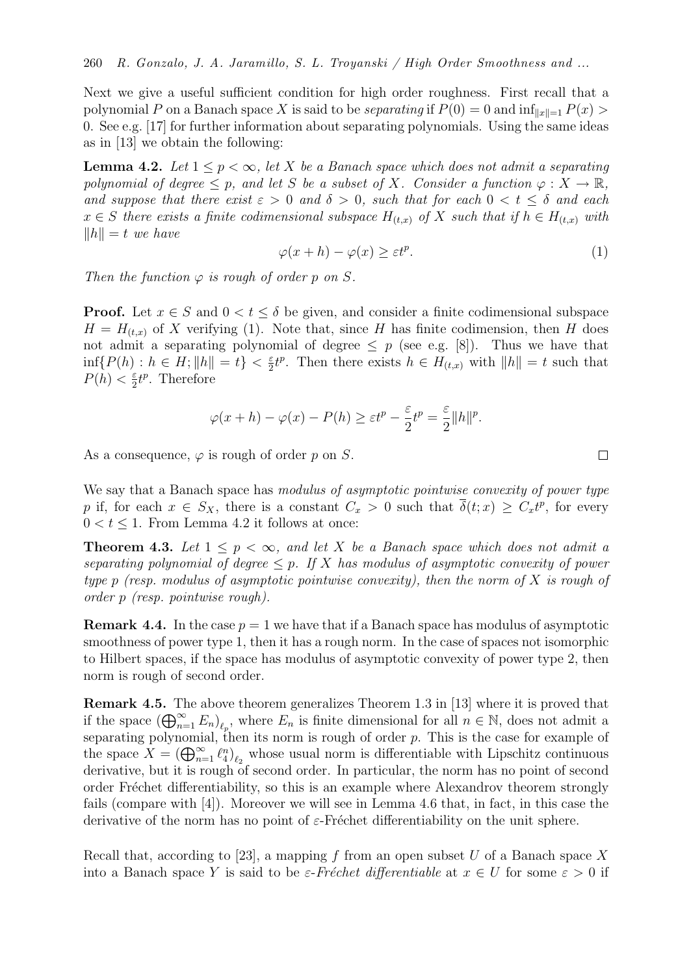Next we give a useful sufficient condition for high order roughness. First recall that a polynomial P on a Banach space X is said to be *separating* if  $P(0) = 0$  and  $\inf_{\|x\|=1} P(x)$ 0. See e.g. [17] for further information about separating polynomials. Using the same ideas as in [13] we obtain the following:

**Lemma 4.2.** Let  $1 \leq p < \infty$ , let X be a Banach space which does not admit a separating polynomial of degree  $\leq p$ , and let S be a subset of X. Consider a function  $\varphi: X \to \mathbb{R}$ , and suppose that there exist  $\varepsilon > 0$  and  $\delta > 0$ , such that for each  $0 < t \leq \delta$  and each  $x \in S$  there exists a finite codimensional subspace  $H_{(t,x)}$  of X such that if  $h \in H_{(t,x)}$  with  $\|h\| = t$  we have

$$
\varphi(x+h) - \varphi(x) \ge \varepsilon t^p. \tag{1}
$$

Then the function  $\varphi$  is rough of order p on S.

**Proof.** Let  $x \in S$  and  $0 \lt t \leq \delta$  be given, and consider a finite codimensional subspace  $H = H_{(t,x)}$  of X verifying (1). Note that, since H has finite codimension, then H does not admit a separating polynomial of degree  $\leq p$  (see e.g. [8]). Thus we have that  $\inf\{P(h) : h \in H; \|h\| = t\} < \frac{\varepsilon}{2}$  $\frac{\varepsilon}{2}t^p$ . Then there exists  $h \in H_{(t,x)}$  with  $||h|| = t$  such that  $P(h) < \frac{\varepsilon}{2}$  $\frac{\varepsilon}{2}t^p$ . Therefore

$$
\varphi(x+h) - \varphi(x) - P(h) \ge \varepsilon t^p - \frac{\varepsilon}{2} t^p = \frac{\varepsilon}{2} ||h||^p.
$$

As a consequence,  $\varphi$  is rough of order p on S.

We say that a Banach space has modulus of asymptotic pointwise convexity of power type p if, for each  $x \in S_X$ , there is a constant  $C_x > 0$  such that  $\overline{\delta}(t; x) \geq C_x t^p$ , for every  $0 < t < 1$ . From Lemma 4.2 it follows at once:

**Theorem 4.3.** Let  $1 \leq p \leq \infty$ , and let X be a Banach space which does not admit a separating polynomial of degree  $\leq p$ . If X has modulus of asymptotic convexity of power type p (resp. modulus of asymptotic pointwise convexity), then the norm of X is rough of order p (resp. pointwise rough).

**Remark 4.4.** In the case  $p = 1$  we have that if a Banach space has modulus of asymptotic smoothness of power type 1, then it has a rough norm. In the case of spaces not isomorphic to Hilbert spaces, if the space has modulus of asymptotic convexity of power type 2, then norm is rough of second order.

Remark 4.5. The above theorem generalizes Theorem 1.3 in [13] where it is proved that if the space  $(\bigoplus_{n=1}^{\infty} E_n)_{\ell_p}$ , where  $E_n$  is finite dimensional for all  $n \in \mathbb{N}$ , does not admit a separating polynomial, then its norm is rough of order  $p$ . This is the case for example of the space  $X = (\bigoplus_{n=1}^{\infty} \ell_4^n)_{\ell_2}$  whose usual norm is differentiable with Lipschitz continuous derivative, but it is rough of second order. In particular, the norm has no point of second order Fréchet differentiability, so this is an example where Alexandrov theorem strongly fails (compare with [4]). Moreover we will see in Lemma 4.6 that, in fact, in this case the derivative of the norm has no point of  $\varepsilon$ -Fréchet differentiability on the unit sphere.

Recall that, according to [23], a mapping f from an open subset U of a Banach space X into a Banach space Y is said to be  $\varepsilon$ -Fréchet differentiable at  $x \in U$  for some  $\varepsilon > 0$  if

$$
\Box
$$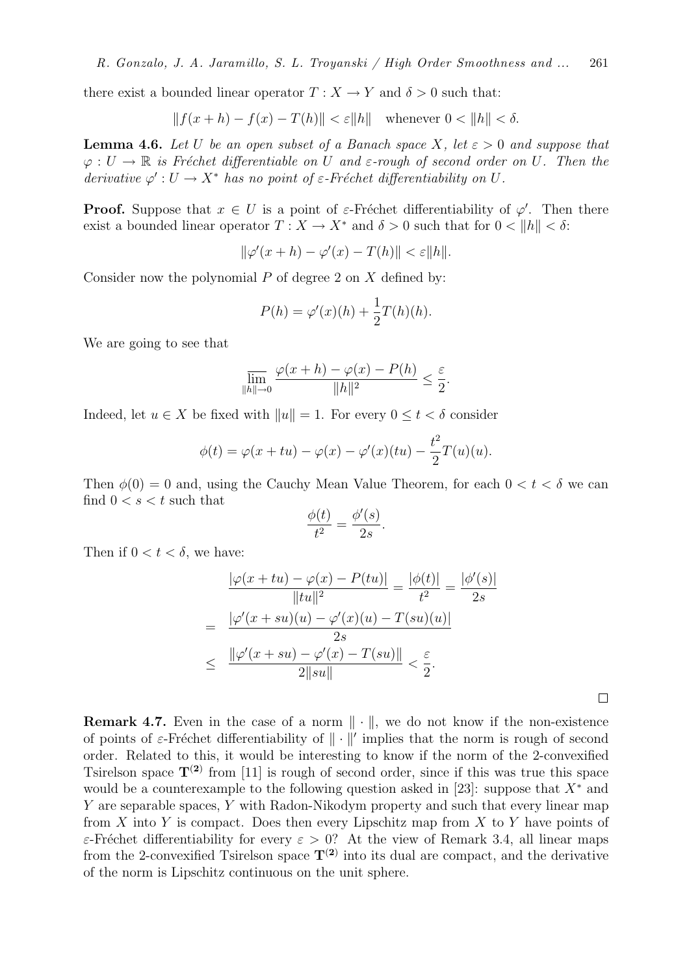there exist a bounded linear operator  $T : X \to Y$  and  $\delta > 0$  such that:

$$
||f(x+h) - f(x) - T(h)|| < \varepsilon ||h||
$$
 whenever  $0 < ||h|| < \delta$ .

**Lemma 4.6.** Let U be an open subset of a Banach space X, let  $\varepsilon > 0$  and suppose that  $\varphi: U \to \mathbb{R}$  is Fréchet differentiable on U and  $\varepsilon$ -rough of second order on U. Then the derivative  $\varphi': U \to X^*$  has no point of  $\varepsilon$ -Fréchet differentiability on U.

**Proof.** Suppose that  $x \in U$  is a point of  $\varepsilon$ -Fréchet differentiability of  $\varphi'$ . Then there exist a bounded linear operator  $T : X \to X^*$  and  $\delta > 0$  such that for  $0 < ||h|| < \delta$ :

$$
\|\varphi'(x+h) - \varphi'(x) - T(h)\| < \varepsilon \|h\|.
$$

Consider now the polynomial  $P$  of degree 2 on  $X$  defined by:

$$
P(h) = \varphi'(x)(h) + \frac{1}{2}T(h)(h).
$$

We are going to see that

$$
\overline{\lim}_{\|h\| \to 0} \frac{\varphi(x+h) - \varphi(x) - P(h)}{\|h\|^2} \le \frac{\varepsilon}{2}.
$$

Indeed, let  $u \in X$  be fixed with  $||u|| = 1$ . For every  $0 \le t < \delta$  consider

$$
\phi(t) = \varphi(x+tu) - \varphi(x) - \varphi'(x)(tu) - \frac{t^2}{2}T(u)(u).
$$

Then  $\phi(0) = 0$  and, using the Cauchy Mean Value Theorem, for each  $0 < t < \delta$  we can find  $0 < s < t$  such that

$$
\frac{\phi(t)}{t^2} = \frac{\phi'(s)}{2s}.
$$

Then if  $0 < t < \delta$ , we have:

$$
\frac{|\varphi(x+tu) - \varphi(x) - P(tu)|}{\|tu\|^2} = \frac{|\phi(t)|}{t^2} = \frac{|\phi'(s)|}{2s}
$$

$$
= \frac{|\varphi'(x+su)(u) - \varphi'(x)(u) - T(su)(u)|}{2s}
$$

$$
\leq \frac{\|\varphi'(x+su) - \varphi'(x) - T(su)\|}{2\|su\|} < \frac{\varepsilon}{2}.
$$

 $\Box$ 

**Remark 4.7.** Even in the case of a norm  $\|\cdot\|$ , we do not know if the non-existence of points of  $\varepsilon$ -Fréchet differentiability of  $\|\cdot\|'$  implies that the norm is rough of second order. Related to this, it would be interesting to know if the norm of the 2-convexified Tsirelson space  $T^{(2)}$  from [11] is rough of second order, since if this was true this space would be a counterexample to the following question asked in [23]: suppose that  $X^*$  and Y are separable spaces, Y with Radon-Nikodym property and such that every linear map from  $X$  into  $Y$  is compact. Does then every Lipschitz map from  $X$  to  $Y$  have points of ε-Fréchet differentiability for every  $ε > 0$ ? At the view of Remark 3.4, all linear maps from the 2-convexified Tsirelson space  $T^{(2)}$  into its dual are compact, and the derivative of the norm is Lipschitz continuous on the unit sphere.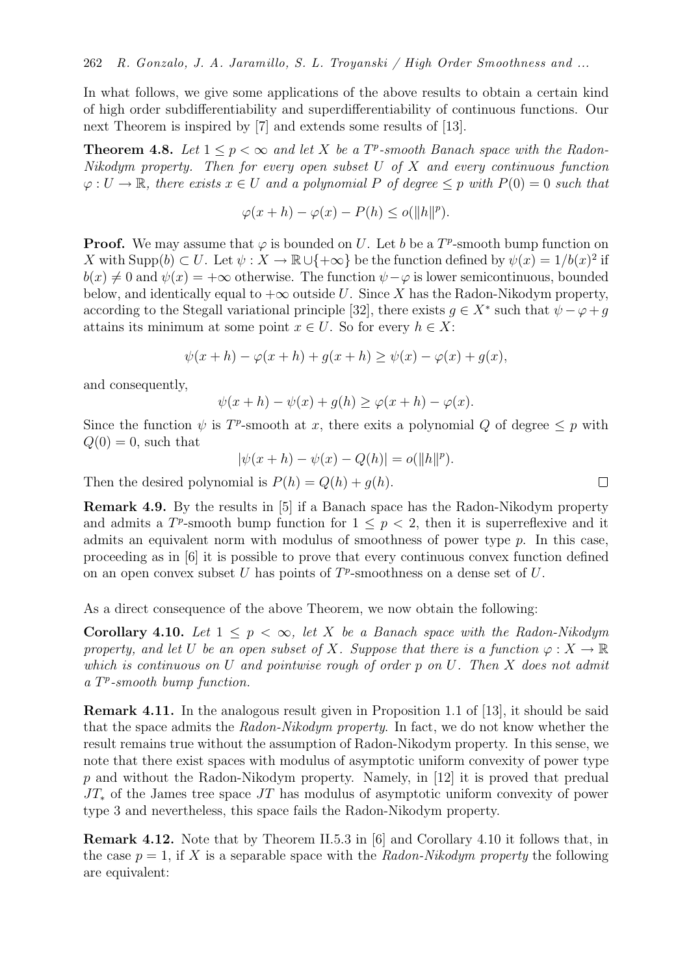In what follows, we give some applications of the above results to obtain a certain kind of high order subdifferentiability and superdifferentiability of continuous functions. Our next Theorem is inspired by [7] and extends some results of [13].

**Theorem 4.8.** Let  $1 \leq p < \infty$  and let X be a  $T^p$ -smooth Banach space with the Radon-Nikodym property. Then for every open subset  $U$  of  $X$  and every continuous function  $\varphi: U \to \mathbb{R}$ , there exists  $x \in U$  and a polynomial P of degree  $\leq p$  with  $P(0) = 0$  such that

$$
\varphi(x+h) - \varphi(x) - P(h) \le o(\|h\|^p).
$$

**Proof.** We may assume that  $\varphi$  is bounded on U. Let b be a  $T^p$ -smooth bump function on X with Supp $(b) \subset U$ . Let  $\psi : X \to \mathbb{R} \cup \{+\infty\}$  be the function defined by  $\psi(x) = 1/b(x)^2$  if  $b(x) \neq 0$  and  $\psi(x) = +\infty$  otherwise. The function  $\psi - \varphi$  is lower semicontinuous, bounded below, and identically equal to  $+\infty$  outside U. Since X has the Radon-Nikodym property, according to the Stegall variational principle [32], there exists  $g \in X^*$  such that  $\psi - \varphi + g$ attains its minimum at some point  $x \in U$ . So for every  $h \in X$ :

$$
\psi(x+h) - \varphi(x+h) + g(x+h) \ge \psi(x) - \varphi(x) + g(x),
$$

and consequently,

$$
\psi(x+h) - \psi(x) + g(h) \ge \varphi(x+h) - \varphi(x).
$$

Since the function  $\psi$  is T<sup>p</sup>-smooth at x, there exits a polynomial Q of degree  $\leq p$  with  $Q(0) = 0$ , such that

$$
|\psi(x+h) - \psi(x) - Q(h)| = o(||h||^p).
$$

Then the desired polynomial is  $P(h) = Q(h) + q(h)$ .

Remark 4.9. By the results in [5] if a Banach space has the Radon-Nikodym property and admits a  $T^p$ -smooth bump function for  $1 \leq p < 2$ , then it is superreflexive and it admits an equivalent norm with modulus of smoothness of power type  $p$ . In this case, proceeding as in [6] it is possible to prove that every continuous convex function defined on an open convex subset U has points of  $T^p$ -smoothness on a dense set of U.

As a direct consequence of the above Theorem, we now obtain the following:

Corollary 4.10. Let  $1 \leq p \leq \infty$ , let X be a Banach space with the Radon-Nikodym property, and let U be an open subset of X. Suppose that there is a function  $\varphi: X \to \mathbb{R}$ which is continuous on U and pointwise rough of order  $p$  on U. Then X does not admit a T<sup>P</sup>-smooth bump function.

Remark 4.11. In the analogous result given in Proposition 1.1 of [13], it should be said that the space admits the Radon-Nikodym property. In fact, we do not know whether the result remains true without the assumption of Radon-Nikodym property. In this sense, we note that there exist spaces with modulus of asymptotic uniform convexity of power type p and without the Radon-Nikodym property. Namely, in [12] it is proved that predual  $JT_*$  of the James tree space  $JT$  has modulus of asymptotic uniform convexity of power type 3 and nevertheless, this space fails the Radon-Nikodym property.

Remark 4.12. Note that by Theorem II.5.3 in [6] and Corollary 4.10 it follows that, in the case  $p = 1$ , if X is a separable space with the Radon-Nikodym property the following are equivalent:

 $\Box$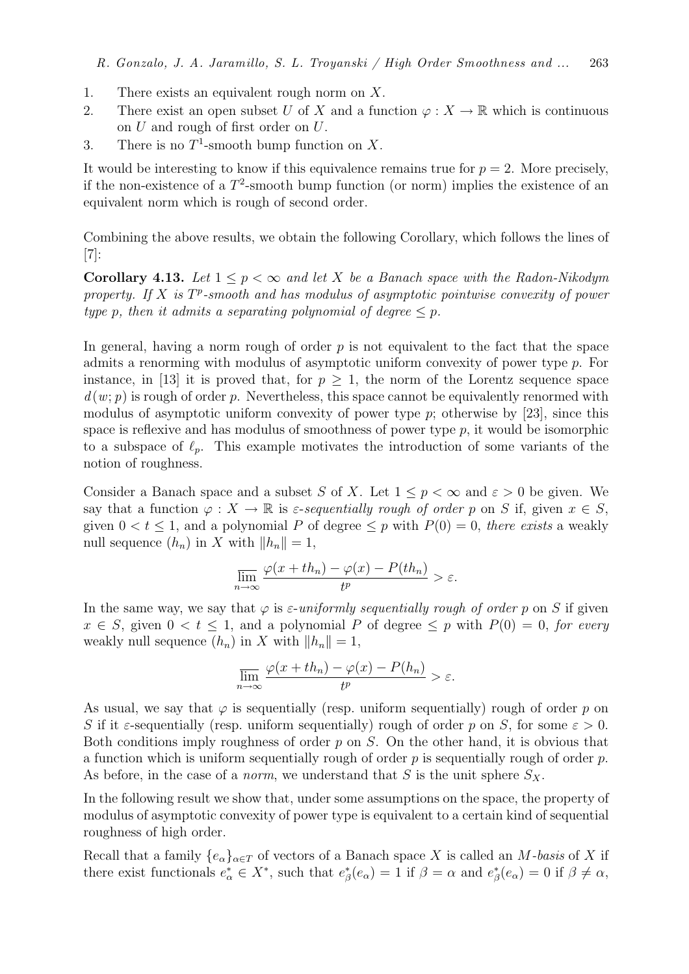- 1. There exists an equivalent rough norm on X.
- 2. There exist an open subset U of X and a function  $\varphi: X \to \mathbb{R}$  which is continuous on U and rough of first order on U.
- 3. There is no  $T^1$ -smooth bump function on X.

It would be interesting to know if this equivalence remains true for  $p = 2$ . More precisely, if the non-existence of a  $T^2$ -smooth bump function (or norm) implies the existence of an equivalent norm which is rough of second order.

Combining the above results, we obtain the following Corollary, which follows the lines of  $|7|$ :

**Corollary 4.13.** Let  $1 \leq p \leq \infty$  and let X be a Banach space with the Radon-Nikodym property. If  $X$  is  $T^p$ -smooth and has modulus of asymptotic pointwise convexity of power type p, then it admits a separating polynomial of degree  $\leq p$ .

In general, having a norm rough of order  $p$  is not equivalent to the fact that the space admits a renorming with modulus of asymptotic uniform convexity of power type p. For instance, in [13] it is proved that, for  $p > 1$ , the norm of the Lorentz sequence space  $d(w; p)$  is rough of order p. Nevertheless, this space cannot be equivalently renormed with modulus of asymptotic uniform convexity of power type  $p$ ; otherwise by [23], since this space is reflexive and has modulus of smoothness of power type  $p$ , it would be isomorphic to a subspace of  $\ell_p$ . This example motivates the introduction of some variants of the notion of roughness.

Consider a Banach space and a subset S of X. Let  $1 \leq p < \infty$  and  $\varepsilon > 0$  be given. We say that a function  $\varphi: X \to \mathbb{R}$  is  $\varepsilon$ -sequentially rough of order p on S if, given  $x \in S$ , given  $0 < t < 1$ , and a polynomial P of degree  $\leq p$  with  $P(0) = 0$ , there exists a weakly null sequence  $(h_n)$  in X with  $||h_n|| = 1$ ,

$$
\overline{\lim}_{n \to \infty} \frac{\varphi(x + th_n) - \varphi(x) - P(th_n)}{t^p} > \varepsilon.
$$

In the same way, we say that  $\varphi$  is  $\varepsilon$ -uniformly sequentially rough of order p on S if given  $x \in S$ , given  $0 < t \leq 1$ , and a polynomial P of degree  $\leq p$  with  $P(0) = 0$ , for every weakly null sequence  $(h_n)$  in X with  $||h_n|| = 1$ ,

$$
\overline{\lim}_{n \to \infty} \frac{\varphi(x + th_n) - \varphi(x) - P(h_n)}{t^p} > \varepsilon.
$$

As usual, we say that  $\varphi$  is sequentially (resp. uniform sequentially) rough of order p on S if it  $\varepsilon$ -sequentially (resp. uniform sequentially) rough of order p on S, for some  $\varepsilon > 0$ . Both conditions imply roughness of order  $p$  on  $S$ . On the other hand, it is obvious that a function which is uniform sequentially rough of order  $p$  is sequentially rough of order  $p$ . As before, in the case of a *norm*, we understand that S is the unit sphere  $S_X$ .

In the following result we show that, under some assumptions on the space, the property of modulus of asymptotic convexity of power type is equivalent to a certain kind of sequential roughness of high order.

Recall that a family  ${e_{\alpha}}_{\alpha \in T}$  of vectors of a Banach space X is called an M-basis of X if there exist functionals  $e^*_{\alpha} \in X^*$ , such that  $e^*_{\beta}(e_{\alpha}) = 1$  if  $\beta = \alpha$  and  $e^*_{\beta}(e_{\alpha}) = 0$  if  $\beta \neq \alpha$ ,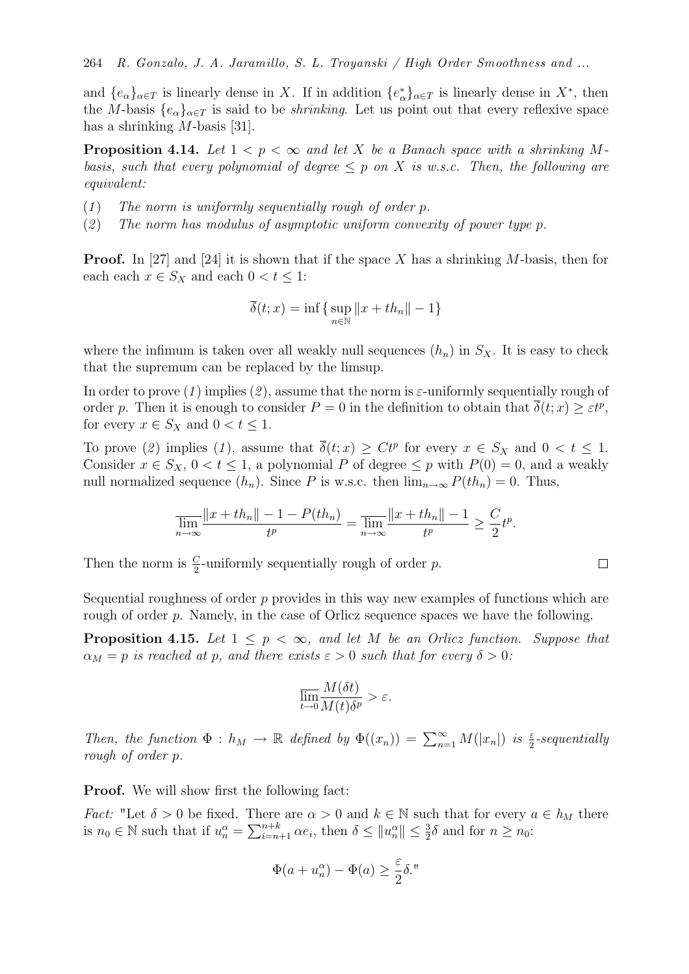and  $\{e_{\alpha}\}_{{\alpha}\in T}$  is linearly dense in X. If in addition  $\{e_{\alpha}^*\}_{{\alpha}\in T}$  is linearly dense in  $X^*$ , then the M-basis  ${e_{\alpha}}_{\alpha\in T}$  is said to be *shrinking*. Let us point out that every reflexive space has a shrinking *M*-basis [31].

**Proposition 4.14.** Let  $1 < p < \infty$  and let X be a Banach space with a shrinking Mbasis, such that every polynomial of degree  $\leq p$  on X is w.s.c. Then, the following are equivalent:

- $(1)$  The norm is uniformly sequentially rough of order p.
- (2) The norm has modulus of asymptotic uniform convexity of power type p.

**Proof.** In [27] and [24] it is shown that if the space X has a shrinking M-basis, then for each each  $x \in S_X$  and each  $0 < t \leq 1$ :

$$
\overline{\delta}(t;x) = \inf \{ \sup_{n \in \mathbb{N}} ||x + th_n|| - 1 \}
$$

where the infimum is taken over all weakly null sequences  $(h_n)$  in  $S_X$ . It is easy to check that the supremum can be replaced by the limsup.

In order to prove (1) implies (2), assume that the norm is  $\varepsilon$ -uniformly sequentially rough of order p. Then it is enough to consider  $P=0$  in the definition to obtain that  $\overline{\delta}(t; x) \geq \varepsilon t^p$ , for every  $x \in S_X$  and  $0 < t \leq 1$ .

To prove (2) implies (1), assume that  $\overline{\delta}(t;x) \geq Ct^p$  for every  $x \in S_X$  and  $0 < t \leq 1$ . Consider  $x \in S_X$ ,  $0 < t \leq 1$ , a polynomial P of degree  $\leq p$  with  $P(0) = 0$ , and a weakly null normalized sequence  $(h_n)$ . Since P is w.s.c. then  $\lim_{n\to\infty} P(th_n) = 0$ . Thus,

$$
\overline{\lim_{n\to\infty}}\frac{\|x+th_n\|-1-P(th_n)}{t^p}=\overline{\lim_{n\to\infty}}\frac{\|x+th_n\|-1}{t^p}\geq \frac{C}{2}t^p.
$$

 $\Box$ 

Then the norm is  $\frac{C}{2}$ -uniformly sequentially rough of order p.

Sequential roughness of order  $p$  provides in this way new examples of functions which are rough of order p. Namely, in the case of Orlicz sequence spaces we have the following.

**Proposition 4.15.** Let  $1 \leq p < \infty$ , and let M be an Orlicz function. Suppose that  $\alpha_M = p$  is reached at p, and there exists  $\varepsilon > 0$  such that for every  $\delta > 0$ :

$$
\overline{\lim_{t \to 0} \frac{M(\delta t)}{M(t)\delta^p}} > \varepsilon.
$$

Then, the function  $\Phi : h_M \to \mathbb{R}$  defined by  $\Phi((x_n)) = \sum_{n=1}^{\infty} M(|x_n|)$  is  $\frac{\varepsilon}{2}$ -sequentially rough of order p.

**Proof.** We will show first the following fact:

*Fact:* "Let  $\delta > 0$  be fixed. There are  $\alpha > 0$  and  $k \in \mathbb{N}$  such that for every  $a \in h_M$  there is  $n_0 \in \mathbb{N}$  such that if  $u_n^{\alpha} = \sum_{i=n+1}^{n+k} \alpha e_i$ , then  $\delta \le ||u_n^{\alpha}|| \le \frac{3}{2}\delta$  and for  $n \ge n_0$ :

$$
\Phi(a + u_n^{\alpha}) - \Phi(a) \ge \frac{\varepsilon}{2} \delta.
$$
"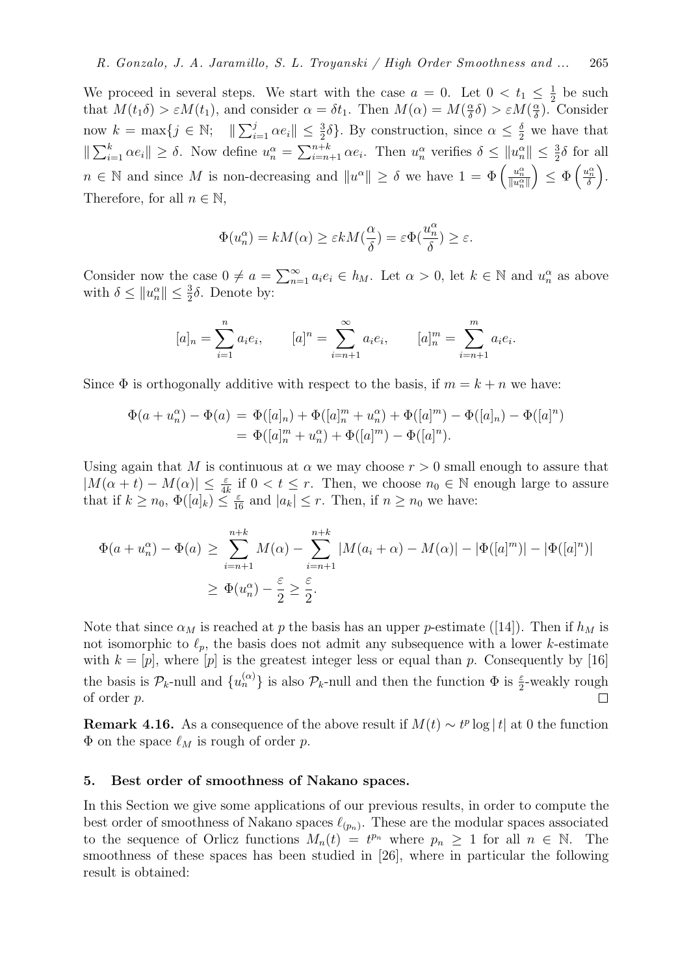We proceed in several steps. We start with the case  $a = 0$ . Let  $0 < t_1 \leq \frac{1}{2}$  $\frac{1}{2}$  be such that  $M(t_1\delta) > \varepsilon M(t_1)$ , and consider  $\alpha = \delta t_1$ . Then  $M(\alpha) = M(\frac{\alpha}{\delta})$  $\frac{\alpha}{\delta} \delta$ ) >  $\varepsilon M(\frac{\alpha}{\delta})$  $\frac{\alpha}{\delta}$ ). Consider now  $k = \max\{j \in \mathbb{N}; \|\sum_{i=1}^j \alpha e_i\| \leq \frac{3}{2}\delta\}$ . By construction, since  $\alpha \leq \frac{\delta}{2}$  we have that  $\|\sum_{i=1}^k \alpha e_i\| \geq \delta$ . Now define  $u_n^{\alpha} = \sum_{i=n+1}^{n+k} \alpha e_i$ . Then  $u_n^{\alpha}$  verifies  $\delta \leq ||u_n^{\alpha}|| \leq \frac{3}{2}\delta$  for all  $n \in \mathbb{N}$  and since M is non-decreasing and  $||u^{\alpha}|| \geq \delta$  we have  $1 = \Phi\left(\frac{u_n^{\alpha}}{||u_n^{\alpha}||}\right)$  $\Big) \leq \Phi\left(\frac{u_n^{\alpha}}{\delta}\right).$ Therefore, for all  $n \in \mathbb{N}$ ,

$$
\Phi(u_n^{\alpha}) = kM(\alpha) \ge \varepsilon k M(\frac{\alpha}{\delta}) = \varepsilon \Phi(\frac{u_n^{\alpha}}{\delta}) \ge \varepsilon.
$$

Consider now the case  $0 \neq a = \sum_{n=1}^{\infty} a_i e_i \in h_M$ . Let  $\alpha > 0$ , let  $k \in \mathbb{N}$  and  $u_n^{\alpha}$  as above with  $\delta \leq ||u_n^{\alpha}|| \leq \frac{3}{2}\delta$ . Denote by:

$$
[a]_n = \sum_{i=1}^n a_i e_i
$$
,  $[a]^n = \sum_{i=n+1}^\infty a_i e_i$ ,  $[a]^m_n = \sum_{i=n+1}^m a_i e_i$ .

Since  $\Phi$  is orthogonally additive with respect to the basis, if  $m = k + n$  we have:

$$
\Phi(a + u_n^{\alpha}) - \Phi(a) = \Phi([a]_n) + \Phi([a]_n^m + u_n^{\alpha}) + \Phi([a]^m) - \Phi([a]_n) - \Phi([a]^n)
$$
  
= 
$$
\Phi([a]_n^m + u_n^{\alpha}) + \Phi([a]^m) - \Phi([a]^n).
$$

Using again that M is continuous at  $\alpha$  we may choose  $r > 0$  small enough to assure that  $|M(\alpha + t) - M(\alpha)| \leq \frac{\varepsilon}{4k}$  if  $0 < t \leq r$ . Then, we choose  $n_0 \in \mathbb{N}$  enough large to assure that if  $k \geq n_0$ ,  $\Phi([a]_k) \leq \frac{\varepsilon}{16}$  and  $|a_k| \leq r$ . Then, if  $n \geq n_0$  we have:

$$
\Phi(a + u_n^{\alpha}) - \Phi(a) \ge \sum_{i=n+1}^{n+k} M(\alpha) - \sum_{i=n+1}^{n+k} |M(a_i + \alpha) - M(\alpha)| - |\Phi([a]^m)| - |\Phi([a]^n)|
$$
  

$$
\ge \Phi(u_n^{\alpha}) - \frac{\varepsilon}{2} \ge \frac{\varepsilon}{2}.
$$

Note that since  $\alpha_M$  is reached at p the basis has an upper p-estimate ([14]). Then if  $h_M$  is not isomorphic to  $\ell_p$ , the basis does not admit any subsequence with a lower k-estimate with  $k = [p]$ , where  $[p]$  is the greatest integer less or equal than p. Consequently by [16] the basis is  $\mathcal{P}_k$ -null and  $\{u_n^{(\alpha)}\}$  is also  $\mathcal{P}_k$ -null and then the function  $\Phi$  is  $\frac{\varepsilon}{2}$ -weakly rough of order p.  $\Box$ 

**Remark 4.16.** As a consequence of the above result if  $M(t) \sim t^p \log|t|$  at 0 the function  $\Phi$  on the space  $\ell_M$  is rough of order p.

## 5. Best order of smoothness of Nakano spaces.

In this Section we give some applications of our previous results, in order to compute the best order of smoothness of Nakano spaces  $\ell_{(p_n)}$ . These are the modular spaces associated to the sequence of Orlicz functions  $M_n(t) = t^{p_n}$  where  $p_n \geq 1$  for all  $n \in \mathbb{N}$ . The smoothness of these spaces has been studied in [26], where in particular the following result is obtained: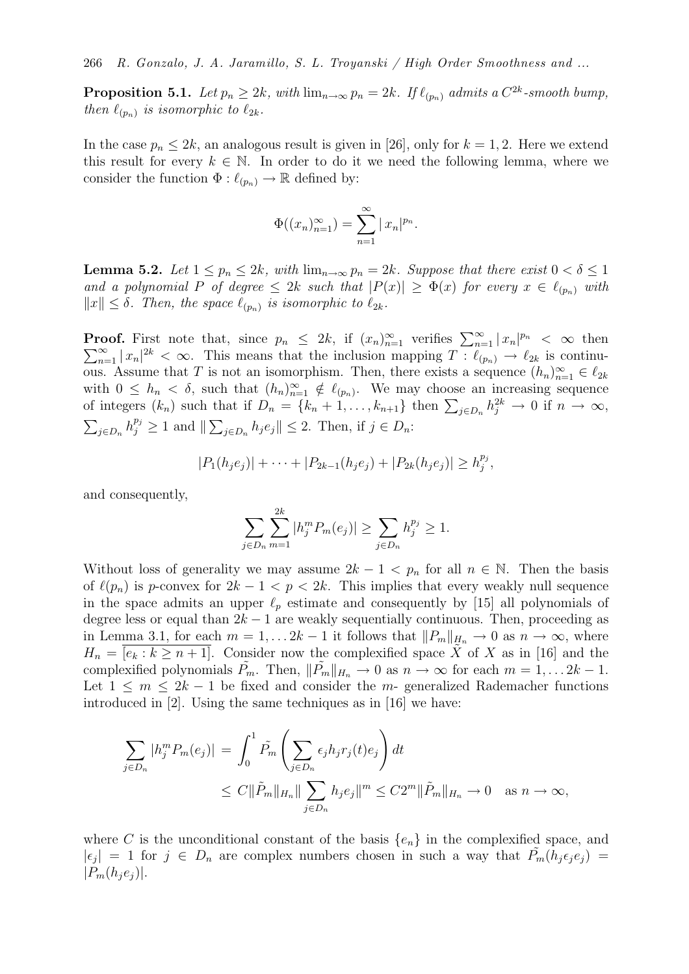**Proposition 5.1.** Let  $p_n \geq 2k$ , with  $\lim_{n \to \infty} p_n = 2k$ . If  $\ell_{(p_n)}$  admits a  $C^{2k}$ -smooth bump, then  $\ell_{(p_n)}$  is isomorphic to  $\ell_{2k}$ .

In the case  $p_n \leq 2k$ , an analogous result is given in [26], only for  $k = 1, 2$ . Here we extend this result for every  $k \in \mathbb{N}$ . In order to do it we need the following lemma, where we consider the function  $\Phi: \ell_{(p_n)} \to \mathbb{R}$  defined by:

$$
\Phi((x_n)_{n=1}^{\infty}) = \sum_{n=1}^{\infty} |x_n|^{p_n}.
$$

**Lemma 5.2.** Let  $1 \leq p_n \leq 2k$ , with  $\lim_{n\to\infty} p_n = 2k$ . Suppose that there exist  $0 < \delta \leq 1$ and a polynomial P of degree  $\leq 2k$  such that  $|P(x)| \geq \Phi(x)$  for every  $x \in \ell_{(p_n)}$  with  $||x|| \leq \delta$ . Then, the space  $\ell_{(p_n)}$  is isomorphic to  $\ell_{2k}$ .

**Proof.** First note that, since  $p_n \leq 2k$ , if  $(x_n)_{n=1}^{\infty}$  verifies  $\sum_{n=1}^{\infty} |x_n|$  $\sum$ **coof.** First note that, since  $p_n \leq 2k$ , if  $(x_n)_{n=1}^{\infty}$  verifies  $\sum_{n=1}^{\infty} |x_n|^{p_n} < \infty$  then  $\sum_{n=1}^{\infty} |x_n|^{2k} < \infty$ . This means that the inclusion mapping  $T : \ell_{(p_n)} \to \ell_{2k}$  is continuous. Assume that T is not an isomorphism. Then, there exists a sequence  $(h_n)_{n=1}^{\infty} \in \ell_{2k}$ with  $0 \leq h_n < \delta$ , such that  $(h_n)_{n=1}^{\infty} \notin \ell_{(p_n)}$ . We may choose an increasing sequence of integers  $(k_n)$  such that if  $D_n = \{k_n + 1, \ldots, k_{n+1}\}\$ then  $\sum_{j \in D_n} h_j^{2k} \to 0$  if  $n \to \infty$ ,  $\sum_{j\in D_n} h_j^{p_j} \geq 1$  and  $\|\sum_{j\in D_n} h_j e_j\| \leq 2$ . Then, if  $j \in D_n$ :

$$
|P_1(h_je_j)| + \cdots + |P_{2k-1}(h_je_j) + |P_{2k}(h_je_j)| \ge h_j^{p_j},
$$

and consequently,

$$
\sum_{j \in D_n} \sum_{m=1}^{2k} |h_j^m P_m(e_j)| \ge \sum_{j \in D_n} h_j^{p_j} \ge 1.
$$

Without loss of generality we may assume  $2k - 1 < p_n$  for all  $n \in \mathbb{N}$ . Then the basis of  $\ell(p_n)$  is p-convex for  $2k - 1 < p < 2k$ . This implies that every weakly null sequence in the space admits an upper  $\ell_p$  estimate and consequently by [15] all polynomials of degree less or equal than  $2k - 1$  are weakly sequentially continuous. Then, proceeding as in Lemma 3.1, for each  $m = 1, \ldots 2k - 1$  it follows that  $||P_m||_{H_n} \to 0$  as  $n \to \infty$ , where  $H_n = [e_k : k \geq n+1]$ . Consider now the complexified space X of X as in [16] and the complexified polynomials  $P_m$ . Then,  $||P_m||_{H_n} \to 0$  as  $n \to \infty$  for each  $m = 1, \ldots 2k - 1$ . Let  $1 \leq m \leq 2k-1$  be fixed and consider the m- generalized Rademacher functions introduced in [2]. Using the same techniques as in [16] we have:

$$
\sum_{j \in D_n} |h_j^m P_m(e_j)| = \int_0^1 \tilde{P_m} \left( \sum_{j \in D_n} \epsilon_j h_j r_j(t) e_j \right) dt
$$
  

$$
\leq C ||\tilde{P}_m||_{H_n} || \sum_{j \in D_n} h_j e_j ||^m \leq C 2^m ||\tilde{P}_m||_{H_n} \to 0 \quad \text{as } n \to \infty,
$$

where C is the unconditional constant of the basis  $\{e_n\}$  in the complexified space, and  $|\epsilon_j| = 1$  for  $j \in D_n$  are complex numbers chosen in such a way that  $\tilde{P_m}(h_j \epsilon_j e_j) =$  $|P_m(h_je_j)|.$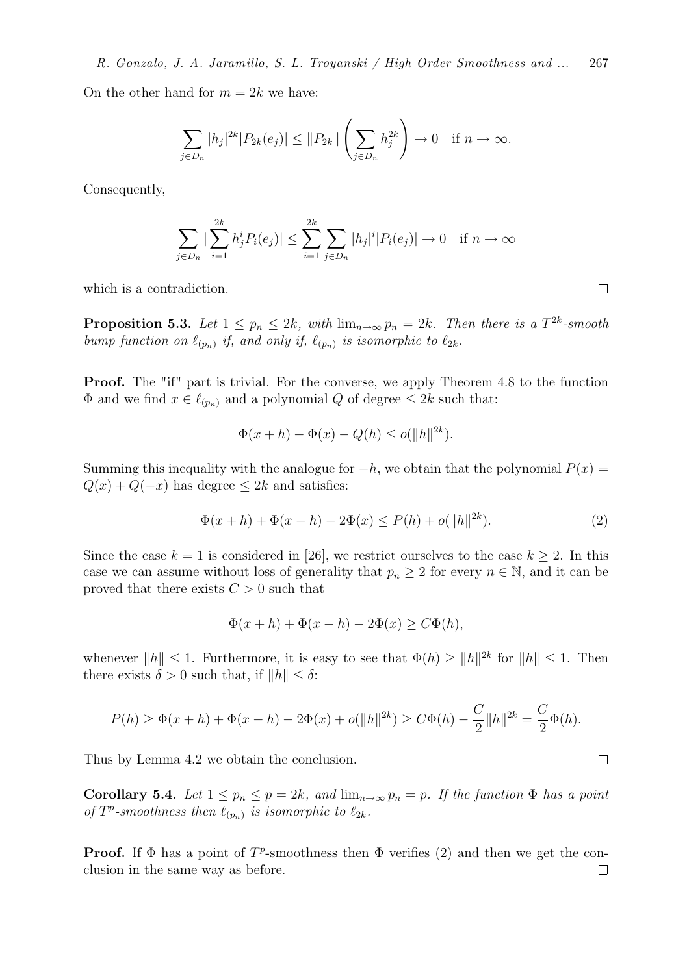On the other hand for  $m = 2k$  we have:

$$
\sum_{j\in D_n} |h_j|^{2k} |P_{2k}(e_j)| \le ||P_{2k}|| \left(\sum_{j\in D_n} h_j^{2k}\right) \to 0 \quad \text{if } n \to \infty.
$$

Consequently,

$$
\sum_{j \in D_n} |\sum_{i=1}^{2k} h_j^i P_i(e_j)| \le \sum_{i=1}^{2k} \sum_{j \in D_n} |h_j|^i |P_i(e_j)| \to 0 \quad \text{if } n \to \infty
$$

which is a contradiction.

**Proposition 5.3.** Let  $1 \leq p_n \leq 2k$ , with  $\lim_{n \to \infty} p_n = 2k$ . Then there is a  $T^{2k}$ -smooth bump function on  $\ell_{(p_n)}$  if, and only if,  $\ell_{(p_n)}$  is isomorphic to  $\ell_{2k}$ .

**Proof.** The "if" part is trivial. For the converse, we apply Theorem 4.8 to the function  $\Phi$  and we find  $x \in \ell_{(p_n)}$  and a polynomial Q of degree  $\leq 2k$  such that:

$$
\Phi(x+h) - \Phi(x) - Q(h) \le o(\|h\|^{2k}).
$$

Summing this inequality with the analogue for  $-h$ , we obtain that the polynomial  $P(x) =$  $Q(x) + Q(-x)$  has degree  $\leq 2k$  and satisfies:

$$
\Phi(x+h) + \Phi(x-h) - 2\Phi(x) \le P(h) + o(||h||^{2k}).\tag{2}
$$

Since the case  $k = 1$  is considered in [26], we restrict ourselves to the case  $k \geq 2$ . In this case we can assume without loss of generality that  $p_n \geq 2$  for every  $n \in \mathbb{N}$ , and it can be proved that there exists  $C > 0$  such that

$$
\Phi(x+h) + \Phi(x-h) - 2\Phi(x) \ge C\Phi(h),
$$

whenever  $||h|| \leq 1$ . Furthermore, it is easy to see that  $\Phi(h) \geq ||h||^{2k}$  for  $||h|| \leq 1$ . Then there exists  $\delta > 0$  such that, if  $||h|| \leq \delta$ :

$$
P(h) \ge \Phi(x+h) + \Phi(x-h) - 2\Phi(x) + o(||h||^{2k}) \ge C\Phi(h) - \frac{C}{2}||h||^{2k} = \frac{C}{2}\Phi(h).
$$

Thus by Lemma 4.2 we obtain the conclusion.

Corollary 5.4. Let  $1 \leq p_n \leq p = 2k$ , and  $\lim_{n\to\infty} p_n = p$ . If the function  $\Phi$  has a point of  $T^p$ -smoothness then  $\ell_{(p_n)}$  is isomorphic to  $\ell_{2k}$ .

**Proof.** If  $\Phi$  has a point of  $T^p$ -smoothness then  $\Phi$  verifies (2) and then we get the conclusion in the same way as before. $\Box$ 

 $\Box$ 

 $\Box$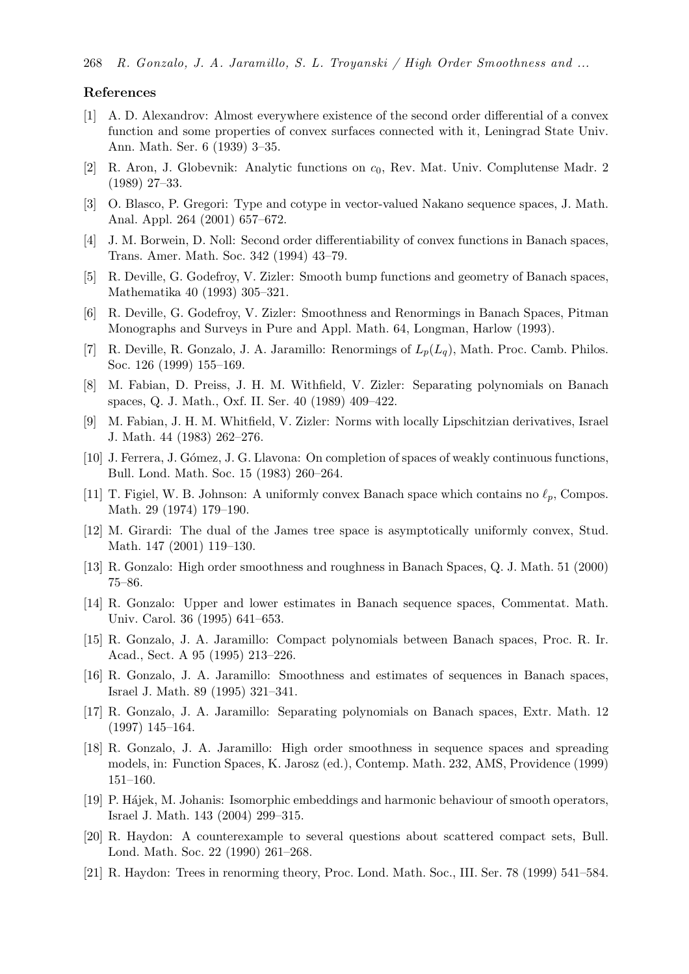#### References

- [1] A. D. Alexandrov: Almost everywhere existence of the second order differential of a convex function and some properties of convex surfaces connected with it, Leningrad State Univ. Ann. Math. Ser. 6 (1939) 3–35.
- [2] R. Aron, J. Globevnik: Analytic functions on  $c_0$ , Rev. Mat. Univ. Complutense Madr. 2 (1989) 27–33.
- [3] O. Blasco, P. Gregori: Type and cotype in vector-valued Nakano sequence spaces, J. Math. Anal. Appl. 264 (2001) 657–672.
- [4] J. M. Borwein, D. Noll: Second order differentiability of convex functions in Banach spaces, Trans. Amer. Math. Soc. 342 (1994) 43–79.
- [5] R. Deville, G. Godefroy, V. Zizler: Smooth bump functions and geometry of Banach spaces, Mathematika 40 (1993) 305–321.
- [6] R. Deville, G. Godefroy, V. Zizler: Smoothness and Renormings in Banach Spaces, Pitman Monographs and Surveys in Pure and Appl. Math. 64, Longman, Harlow (1993).
- [7] R. Deville, R. Gonzalo, J. A. Jaramillo: Renormings of  $L_n(L_n)$ , Math. Proc. Camb. Philos. Soc. 126 (1999) 155–169.
- [8] M. Fabian, D. Preiss, J. H. M. Withfield, V. Zizler: Separating polynomials on Banach spaces, Q. J. Math., Oxf. II. Ser. 40 (1989) 409–422.
- [9] M. Fabian, J. H. M. Whitfield, V. Zizler: Norms with locally Lipschitzian derivatives, Israel J. Math. 44 (1983) 262–276.
- [10] J. Ferrera, J. G´omez, J. G. Llavona: On completion of spaces of weakly continuous functions, Bull. Lond. Math. Soc. 15 (1983) 260–264.
- [11] T. Figiel, W. B. Johnson: A uniformly convex Banach space which contains no  $\ell_p$ , Compos. Math. 29 (1974) 179–190.
- [12] M. Girardi: The dual of the James tree space is asymptotically uniformly convex, Stud. Math. 147 (2001) 119–130.
- [13] R. Gonzalo: High order smoothness and roughness in Banach Spaces, Q. J. Math. 51 (2000) 75–86.
- [14] R. Gonzalo: Upper and lower estimates in Banach sequence spaces, Commentat. Math. Univ. Carol. 36 (1995) 641–653.
- [15] R. Gonzalo, J. A. Jaramillo: Compact polynomials between Banach spaces, Proc. R. Ir. Acad., Sect. A 95 (1995) 213–226.
- [16] R. Gonzalo, J. A. Jaramillo: Smoothness and estimates of sequences in Banach spaces, Israel J. Math. 89 (1995) 321–341.
- [17] R. Gonzalo, J. A. Jaramillo: Separating polynomials on Banach spaces, Extr. Math. 12 (1997) 145–164.
- [18] R. Gonzalo, J. A. Jaramillo: High order smoothness in sequence spaces and spreading models, in: Function Spaces, K. Jarosz (ed.), Contemp. Math. 232, AMS, Providence (1999) 151–160.
- [19] P. H´ajek, M. Johanis: Isomorphic embeddings and harmonic behaviour of smooth operators, Israel J. Math. 143 (2004) 299–315.
- [20] R. Haydon: A counterexample to several questions about scattered compact sets, Bull. Lond. Math. Soc. 22 (1990) 261–268.
- [21] R. Haydon: Trees in renorming theory, Proc. Lond. Math. Soc., III. Ser. 78 (1999) 541–584.